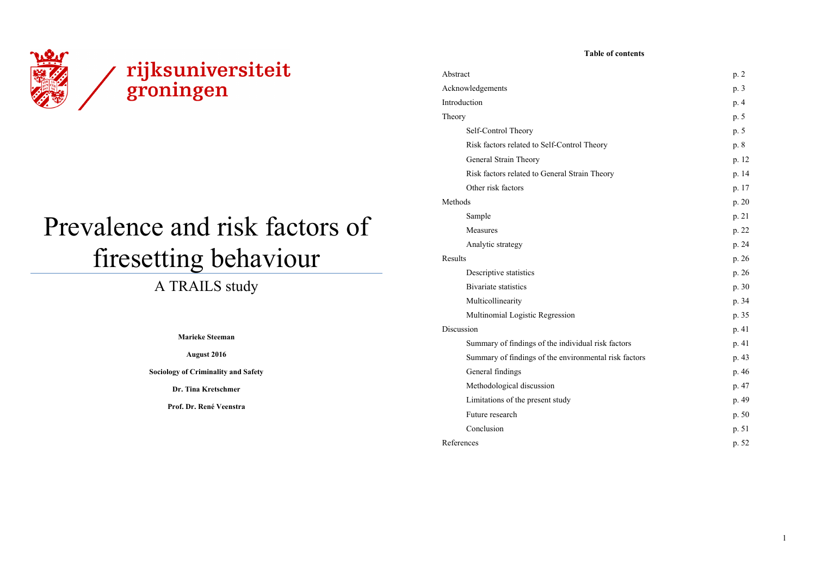

# Prevalence and risk factors of firesetting behaviour

# A TRAILS study

**Marieke Steeman** 

# **August 2016**

**Sociology of Criminality and Safety** 

**Dr. Tina Kretschmer** 

**Prof. Dr. René Veenstra** 

## **Table of contents**

| Abstract                                              | p. 2    |
|-------------------------------------------------------|---------|
| Acknowledgements                                      | p. 3    |
| Introduction                                          | p. 4    |
| Theory                                                | p. 5    |
| Self-Control Theory                                   | p. 5    |
| Risk factors related to Self-Control Theory           | p. 8    |
| General Strain Theory                                 | p. 12   |
| Risk factors related to General Strain Theory         | p. 14   |
| Other risk factors                                    | p. 17   |
| Methods                                               | p. $20$ |
| Sample                                                | p. 21   |
| Measures                                              | p. 22   |
| Analytic strategy                                     | p. 24   |
| Results                                               | p. 26   |
| Descriptive statistics                                | p. 26   |
| <b>Bivariate statistics</b>                           | p. 30   |
| Multicollinearity                                     | p. 34   |
| Multinomial Logistic Regression                       | p. 35   |
| Discussion                                            | p. 41   |
| Summary of findings of the individual risk factors    | p. 41   |
| Summary of findings of the environmental risk factors | p. 43   |
| General findings                                      | p. 46   |
| Methodological discussion                             | p. 47   |
| Limitations of the present study                      | p. 49   |
| Future research                                       | p. 50   |
| Conclusion                                            | p. 51   |
| References                                            | p. 52   |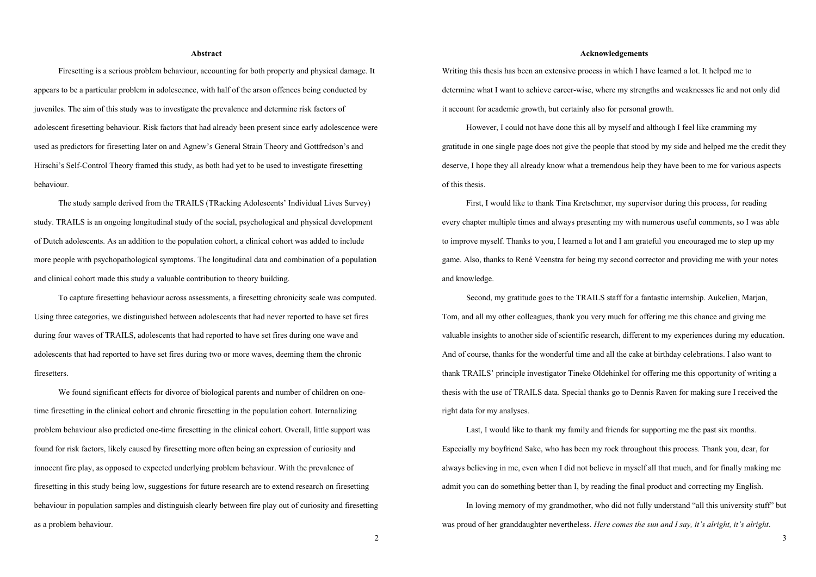# **Acknowledgements**

# **Abstract**

 Firesetting is a serious problem behaviour, accounting for both property and physical damage. It appears to be a particular problem in adolescence, with half of the arson offences being conducted by juveniles. The aim of this study was to investigate the prevalence and determine risk factors of adolescent firesetting behaviour. Risk factors that had already been present since early adolescence were used as predictors for firesetting later on and Agnew's General Strain Theory and Gottfredson's and Hirschi's Self-Control Theory framed this study, as both had yet to be used to investigate firesetting behaviour.

 The study sample derived from the TRAILS (TRacking Adolescents' Individual Lives Survey) study. TRAILS is an ongoing longitudinal study of the social, psychological and physical development of Dutch adolescents. As an addition to the population cohort, a clinical cohort was added to include more people with psychopathological symptoms. The longitudinal data and combination of a population and clinical cohort made this study a valuable contribution to theory building.

 To capture firesetting behaviour across assessments, a firesetting chronicity scale was computed. Using three categories, we distinguished between adolescents that had never reported to have set fires during four waves of TRAILS, adolescents that had reported to have set fires during one wave and adolescents that had reported to have set fires during two or more waves, deeming them the chronic firesetters.

We found significant effects for divorce of biological parents and number of children on onetime firesetting in the clinical cohort and chronic firesetting in the population cohort. Internalizing problem behaviour also predicted one-time firesetting in the clinical cohort. Overall, little support was found for risk factors, likely caused by firesetting more often being an expression of curiosity and innocent fire play, as opposed to expected underlying problem behaviour. With the prevalence of firesetting in this study being low, suggestions for future research are to extend research on firesetting behaviour in population samples and distinguish clearly between fire play out of curiosity and firesetting as a problem behaviour.

Writing this thesis has been an extensive process in which I have learned a lot. It helped me to determine what I want to achieve career-wise, where my strengths and weaknesses lie and not only did it account for academic growth, but certainly also for personal growth.

 However, I could not have done this all by myself and although I feel like cramming my gratitude in one single page does not give the people that stood by my side and helped me the credit they deserve, I hope they all already know what a tremendous help they have been to me for various aspects of this thesis.

 First, I would like to thank Tina Kretschmer, my supervisor during this process, for reading every chapter multiple times and always presenting my with numerous useful comments, so I was able to improve myself. Thanks to you, I learned a lot and I am grateful you encouraged me to step up my game. Also, thanks to René Veenstra for being my second corrector and providing me with your notes and knowledge.

 Second, my gratitude goes to the TRAILS staff for a fantastic internship. Aukelien, Marjan, Tom, and all my other colleagues, thank you very much for offering me this chance and giving me valuable insights to another side of scientific research, different to my experiences during my education. And of course, thanks for the wonderful time and all the cake at birthday celebrations. I also want to thank TRAILS' principle investigator Tineke Oldehinkel for offering me this opportunity of writing a thesis with the use of TRAILS data. Special thanks go to Dennis Raven for making sure I received the right data for my analyses.

 Last, I would like to thank my family and friends for supporting me the past six months. Especially my boyfriend Sake, who has been my rock throughout this process. Thank you, dear, for always believing in me, even when I did not believe in myself all that much, and for finally making me admit you can do something better than I, by reading the final product and correcting my English.

 In loving memory of my grandmother, who did not fully understand "all this university stuff" but was proud of her granddaughter nevertheless. *Here comes the sun and I say, it's alright, it's alright*.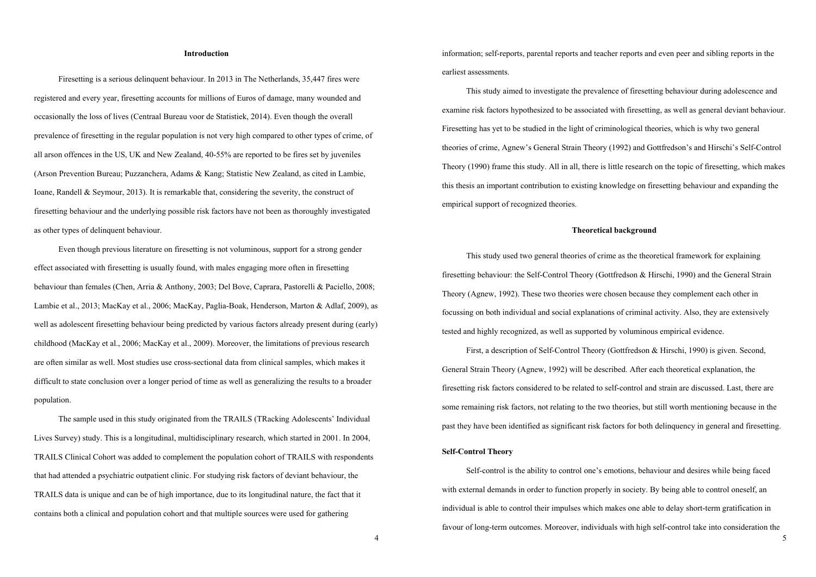# **Introduction**

 Firesetting is a serious delinquent behaviour. In 2013 in The Netherlands, 35,447 fires were registered and every year, firesetting accounts for millions of Euros of damage, many wounded and occasionally the loss of lives (Centraal Bureau voor de Statistiek, 2014). Even though the overall prevalence of firesetting in the regular population is not very high compared to other types of crime, of all arson offences in the US, UK and New Zealand, 40-55% are reported to be fires set by juveniles (Arson Prevention Bureau; Puzzanchera, Adams & Kang; Statistic New Zealand, as cited in Lambie, Ioane, Randell & Seymour, 2013). It is remarkable that, considering the severity, the construct of firesetting behaviour and the underlying possible risk factors have not been as thoroughly investigated as other types of delinquent behaviour.

Even though previous literature on firesetting is not voluminous, support for a strong gender effect associated with firesetting is usually found, with males engaging more often in firesetting behaviour than females (Chen, Arria & Anthony, 2003; Del Bove, Caprara, Pastorelli & Paciello, 2008; Lambie et al., 2013; MacKay et al., 2006; MacKay, Paglia-Boak, Henderson, Marton & Adlaf, 2009), as well as adolescent firesetting behaviour being predicted by various factors already present during (early) childhood (MacKay et al., 2006; MacKay et al., 2009). Moreover, the limitations of previous research are often similar as well. Most studies use cross-sectional data from clinical samples, which makes it difficult to state conclusion over a longer period of time as well as generalizing the results to a broader population.

The sample used in this study originated from the TRAILS (TRacking Adolescents' Individual Lives Survey) study. This is a longitudinal, multidisciplinary research, which started in 2001. In 2004, TRAILS Clinical Cohort was added to complement the population cohort of TRAILS with respondents that had attended a psychiatric outpatient clinic. For studying risk factors of deviant behaviour, the TRAILS data is unique and can be of high importance, due to its longitudinal nature, the fact that it contains both a clinical and population cohort and that multiple sources were used for gathering

information; self-reports, parental reports and teacher reports and even peer and sibling reports in the earliest assessments.

 This study aimed to investigate the prevalence of firesetting behaviour during adolescence and examine risk factors hypothesized to be associated with firesetting, as well as general deviant behaviour. Firesetting has yet to be studied in the light of criminological theories, which is why two general theories of crime, Agnew's General Strain Theory (1992) and Gottfredson's and Hirschi's Self-Control Theory (1990) frame this study. All in all, there is little research on the topic of firesetting, which makes this thesis an important contribution to existing knowledge on firesetting behaviour and expanding the empirical support of recognized theories.

# **Theoretical background**

 This study used two general theories of crime as the theoretical framework for explaining firesetting behaviour: the Self-Control Theory (Gottfredson & Hirschi, 1990) and the General Strain Theory (Agnew, 1992). These two theories were chosen because they complement each other in focussing on both individual and social explanations of criminal activity. Also, they are extensively tested and highly recognized, as well as supported by voluminous empirical evidence.

 First, a description of Self-Control Theory (Gottfredson & Hirschi, 1990) is given. Second, General Strain Theory (Agnew, 1992) will be described. After each theoretical explanation, the firesetting risk factors considered to be related to self-control and strain are discussed. Last, there are some remaining risk factors, not relating to the two theories, but still worth mentioning because in the past they have been identified as significant risk factors for both delinquency in general and firesetting.

# **Self-Control Theory**

 Self-control is the ability to control one's emotions, behaviour and desires while being faced with external demands in order to function properly in society. By being able to control oneself, an individual is able to control their impulses which makes one able to delay short-term gratification in favour of long-term outcomes. Moreover, individuals with high self-control take into consideration the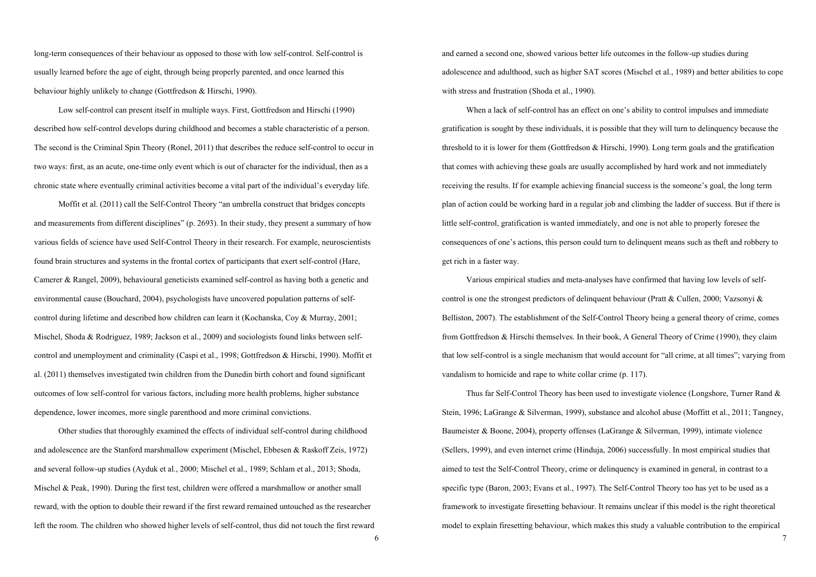long-term consequences of their behaviour as opposed to those with low self-control. Self-control is usually learned before the age of eight, through being properly parented, and once learned this behaviour highly unlikely to change (Gottfredson & Hirschi, 1990).

 Low self-control can present itself in multiple ways. First, Gottfredson and Hirschi (1990) described how self-control develops during childhood and becomes a stable characteristic of a person. The second is the Criminal Spin Theory (Ronel, 2011) that describes the reduce self-control to occur in two ways: first, as an acute, one-time only event which is out of character for the individual, then as a chronic state where eventually criminal activities become a vital part of the individual's everyday life.

Moffit et al. (2011) call the Self-Control Theory "an umbrella construct that bridges concepts and measurements from different disciplines" (p. 2693). In their study, they present a summary of how various fields of science have used Self-Control Theory in their research. For example, neuroscientists found brain structures and systems in the frontal cortex of participants that exert self-control (Hare, Camerer & Rangel, 2009), behavioural geneticists examined self-control as having both a genetic and environmental cause (Bouchard, 2004), psychologists have uncovered population patterns of selfcontrol during lifetime and described how children can learn it (Kochanska, Coy & Murray, 2001; Mischel, Shoda & Rodriguez, 1989; Jackson et al., 2009) and sociologists found links between selfcontrol and unemployment and criminality (Caspi et al., 1998; Gottfredson & Hirschi, 1990). Moffit et al. (2011) themselves investigated twin children from the Dunedin birth cohort and found significant outcomes of low self-control for various factors, including more health problems, higher substance dependence, lower incomes, more single parenthood and more criminal convictions.

 Other studies that thoroughly examined the effects of individual self-control during childhood and adolescence are the Stanford marshmallow experiment (Mischel, Ebbesen & Raskoff Zeis, 1972) and several follow-up studies (Ayduk et al., 2000; Mischel et al., 1989; Schlam et al., 2013; Shoda, Mischel & Peak, 1990). During the first test, children were offered a marshmallow or another small reward, with the option to double their reward if the first reward remained untouched as the researcher left the room. The children who showed higher levels of self-control, thus did not touch the first reward and earned a second one, showed various better life outcomes in the follow-up studies during adolescence and adulthood, such as higher SAT scores (Mischel et al., 1989) and better abilities to cope with stress and frustration (Shoda et al., 1990).

 When a lack of self-control has an effect on one's ability to control impulses and immediate gratification is sought by these individuals, it is possible that they will turn to delinquency because the threshold to it is lower for them (Gottfredson & Hirschi, 1990). Long term goals and the gratification that comes with achieving these goals are usually accomplished by hard work and not immediately receiving the results. If for example achieving financial success is the someone's goal, the long term plan of action could be working hard in a regular job and climbing the ladder of success. But if there is little self-control, gratification is wanted immediately, and one is not able to properly foresee the consequences of one's actions, this person could turn to delinquent means such as theft and robbery to get rich in a faster way.

 Various empirical studies and meta-analyses have confirmed that having low levels of selfcontrol is one the strongest predictors of delinquent behaviour (Pratt & Cullen, 2000; Vazsonyi & Belliston, 2007). The establishment of the Self-Control Theory being a general theory of crime, comes from Gottfredson & Hirschi themselves. In their book, A General Theory of Crime (1990), they claim that low self-control is a single mechanism that would account for "all crime, at all times"; varying from vandalism to homicide and rape to white collar crime (p. 117).

 Thus far Self-Control Theory has been used to investigate violence (Longshore, Turner Rand & Stein, 1996; LaGrange & Silverman, 1999), substance and alcohol abuse (Moffitt et al., 2011; Tangney, Baumeister & Boone, 2004), property offenses (LaGrange & Silverman, 1999), intimate violence (Sellers, 1999), and even internet crime (Hinduja, 2006) successfully. In most empirical studies that aimed to test the Self-Control Theory, crime or delinquency is examined in general, in contrast to a specific type (Baron, 2003; Evans et al., 1997). The Self-Control Theory too has yet to be used as a framework to investigate firesetting behaviour. It remains unclear if this model is the right theoretical model to explain firesetting behaviour, which makes this study a valuable contribution to the empirical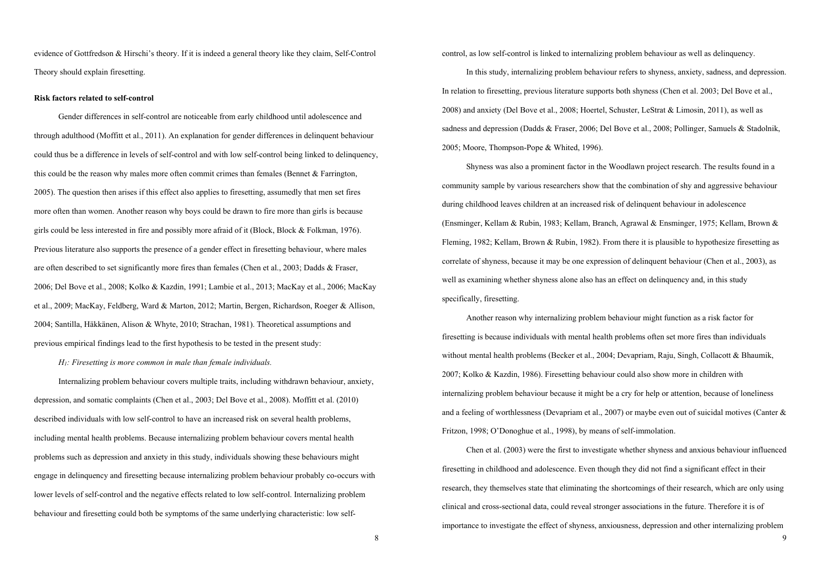evidence of Gottfredson & Hirschi's theory. If it is indeed a general theory like they claim, Self-Control Theory should explain firesetting.

#### **Risk factors related to self-control**

Gender differences in self-control are noticeable from early childhood until adolescence and through adulthood (Moffitt et al., 2011). An explanation for gender differences in delinquent behaviour could thus be a difference in levels of self-control and with low self-control being linked to delinquency, this could be the reason why males more often commit crimes than females (Bennet  $\&$  Farrington, 2005). The question then arises if this effect also applies to firesetting, assumedly that men set fires more often than women. Another reason why boys could be drawn to fire more than girls is because girls could be less interested in fire and possibly more afraid of it (Block, Block & Folkman, 1976). Previous literature also supports the presence of a gender effect in firesetting behaviour, where males are often described to set significantly more fires than females (Chen et al., 2003; Dadds & Fraser, 2006; Del Bove et al., 2008; Kolko & Kazdin, 1991; Lambie et al., 2013; MacKay et al., 2006; MacKay et al., 2009; MacKay, Feldberg, Ward & Marton, 2012; Martin, Bergen, Richardson, Roeger & Allison, 2004; Santilla, Häkkänen, Alison & Whyte, 2010; Strachan, 1981). Theoretical assumptions and previous empirical findings lead to the first hypothesis to be tested in the present study:

# *H1: Firesetting is more common in male than female individuals.*

 Internalizing problem behaviour covers multiple traits, including withdrawn behaviour, anxiety, depression, and somatic complaints (Chen et al., 2003; Del Bove et al., 2008). Moffitt et al. (2010) described individuals with low self-control to have an increased risk on several health problems, including mental health problems. Because internalizing problem behaviour covers mental health problems such as depression and anxiety in this study, individuals showing these behaviours might engage in delinquency and firesetting because internalizing problem behaviour probably co-occurs with lower levels of self-control and the negative effects related to low self-control. Internalizing problem behaviour and firesetting could both be symptoms of the same underlying characteristic: low selfcontrol, as low self-control is linked to internalizing problem behaviour as well as delinquency.

 In this study, internalizing problem behaviour refers to shyness, anxiety, sadness, and depression. In relation to firesetting, previous literature supports both shyness (Chen et al. 2003; Del Bove et al., 2008) and anxiety (Del Bove et al., 2008; Hoertel, Schuster, LeStrat & Limosin, 2011), as well as sadness and depression (Dadds & Fraser, 2006; Del Bove et al., 2008; Pollinger, Samuels & Stadolnik, 2005; Moore, Thompson-Pope & Whited, 1996).

 Shyness was also a prominent factor in the Woodlawn project research. The results found in a community sample by various researchers show that the combination of shy and aggressive behaviour during childhood leaves children at an increased risk of delinquent behaviour in adolescence (Ensminger, Kellam & Rubin, 1983; Kellam, Branch, Agrawal & Ensminger, 1975; Kellam, Brown & Fleming, 1982; Kellam, Brown & Rubin, 1982). From there it is plausible to hypothesize firesetting as correlate of shyness, because it may be one expression of delinquent behaviour (Chen et al., 2003), as well as examining whether shyness alone also has an effect on delinquency and, in this study specifically, firesetting.

 Another reason why internalizing problem behaviour might function as a risk factor for firesetting is because individuals with mental health problems often set more fires than individuals without mental health problems (Becker et al., 2004; Devapriam, Raju, Singh, Collacott & Bhaumik, 2007; Kolko & Kazdin, 1986). Firesetting behaviour could also show more in children with internalizing problem behaviour because it might be a cry for help or attention, because of loneliness and a feeling of worthlessness (Devapriam et al., 2007) or maybe even out of suicidal motives (Canter & Fritzon, 1998; O'Donoghue et al., 1998), by means of self-immolation.

 Chen et al. (2003) were the first to investigate whether shyness and anxious behaviour influenced firesetting in childhood and adolescence. Even though they did not find a significant effect in their research, they themselves state that eliminating the shortcomings of their research, which are only using clinical and cross-sectional data, could reveal stronger associations in the future. Therefore it is of importance to investigate the effect of shyness, anxiousness, depression and other internalizing problem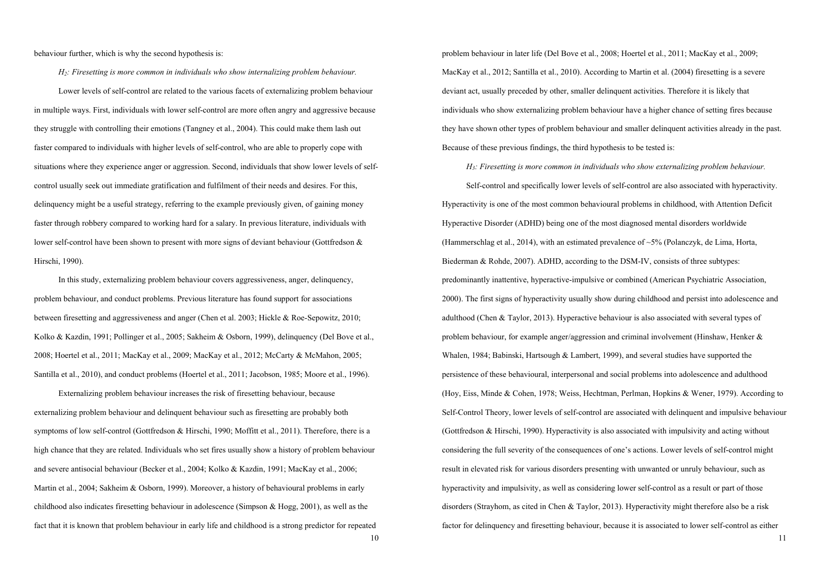behaviour further, which is why the second hypothesis is:

 *H2: Firesetting is more common in individuals who show internalizing problem behaviour.*

 Lower levels of self-control are related to the various facets of externalizing problem behaviour in multiple ways. First, individuals with lower self-control are more often angry and aggressive because they struggle with controlling their emotions (Tangney et al., 2004). This could make them lash out faster compared to individuals with higher levels of self-control, who are able to properly cope with situations where they experience anger or aggression. Second, individuals that show lower levels of selfcontrol usually seek out immediate gratification and fulfilment of their needs and desires. For this, delinquency might be a useful strategy, referring to the example previously given, of gaining money faster through robbery compared to working hard for a salary. In previous literature, individuals with lower self-control have been shown to present with more signs of deviant behaviour (Gottfredson & Hirschi, 1990).

 In this study, externalizing problem behaviour covers aggressiveness, anger, delinquency, problem behaviour, and conduct problems. Previous literature has found support for associations between firesetting and aggressiveness and anger (Chen et al. 2003; Hickle & Roe-Sepowitz, 2010; Kolko & Kazdin, 1991; Pollinger et al., 2005; Sakheim & Osborn, 1999), delinquency (Del Bove et al., 2008; Hoertel et al., 2011; MacKay et al., 2009; MacKay et al., 2012; McCarty & McMahon, 2005; Santilla et al., 2010), and conduct problems (Hoertel et al., 2011; Jacobson, 1985; Moore et al., 1996).

 Externalizing problem behaviour increases the risk of firesetting behaviour, because externalizing problem behaviour and delinquent behaviour such as firesetting are probably both symptoms of low self-control (Gottfredson & Hirschi, 1990; Moffitt et al., 2011). Therefore, there is a high chance that they are related. Individuals who set fires usually show a history of problem behaviour and severe antisocial behaviour (Becker et al., 2004; Kolko & Kazdin, 1991; MacKay et al., 2006; Martin et al., 2004; Sakheim & Osborn, 1999). Moreover, a history of behavioural problems in early childhood also indicates firesetting behaviour in adolescence (Simpson & Hogg, 2001), as well as the fact that it is known that problem behaviour in early life and childhood is a strong predictor for repeated problem behaviour in later life (Del Bove et al., 2008; Hoertel et al., 2011; MacKay et al., 2009; MacKay et al., 2012; Santilla et al., 2010). According to Martin et al. (2004) firesetting is a severe deviant act, usually preceded by other, smaller delinquent activities. Therefore it is likely that individuals who show externalizing problem behaviour have a higher chance of setting fires because they have shown other types of problem behaviour and smaller delinquent activities already in the past. Because of these previous findings, the third hypothesis to be tested is:

*H3: Firesetting is more common in individuals who show externalizing problem behaviour.*

 Self-control and specifically lower levels of self-control are also associated with hyperactivity. Hyperactivity is one of the most common behavioural problems in childhood, with Attention Deficit Hyperactive Disorder (ADHD) being one of the most diagnosed mental disorders worldwide (Hammerschlag et al., 2014), with an estimated prevalence of  $\sim$ 5% (Polanczyk, de Lima, Horta, Biederman & Rohde, 2007). ADHD, according to the DSM-IV, consists of three subtypes: predominantly inattentive, hyperactive-impulsive or combined (American Psychiatric Association, 2000). The first signs of hyperactivity usually show during childhood and persist into adolescence and adulthood (Chen & Taylor, 2013). Hyperactive behaviour is also associated with several types of problem behaviour, for example anger/aggression and criminal involvement (Hinshaw, Henker & Whalen, 1984; Babinski, Hartsough & Lambert, 1999), and several studies have supported the persistence of these behavioural, interpersonal and social problems into adolescence and adulthood (Hoy, Eiss, Minde & Cohen, 1978; Weiss, Hechtman, Perlman, Hopkins & Wener, 1979). According to Self-Control Theory, lower levels of self-control are associated with delinquent and impulsive behaviour (Gottfredson & Hirschi, 1990). Hyperactivity is also associated with impulsivity and acting without considering the full severity of the consequences of one's actions. Lower levels of self-control might result in elevated risk for various disorders presenting with unwanted or unruly behaviour, such as hyperactivity and impulsivity, as well as considering lower self-control as a result or part of those disorders (Strayhom, as cited in Chen & Taylor, 2013). Hyperactivity might therefore also be a risk factor for delinquency and firesetting behaviour, because it is associated to lower self-control as either

11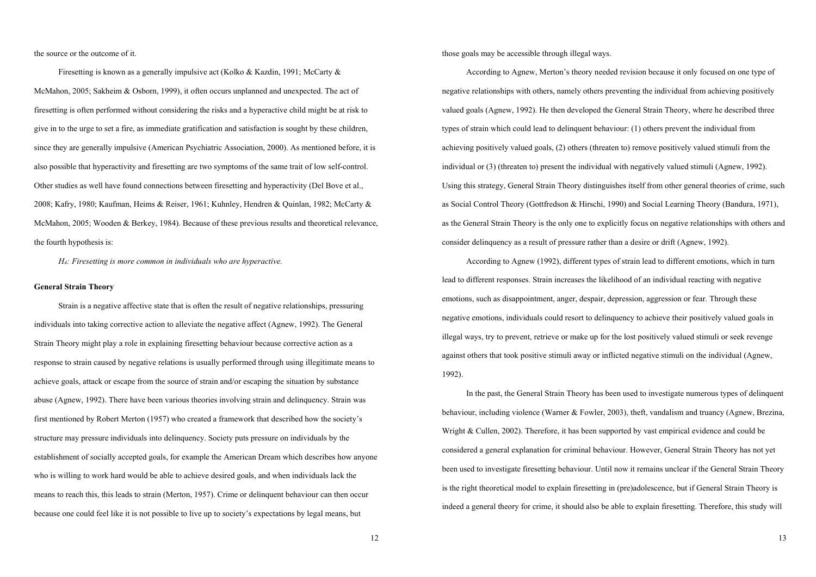the source or the outcome of it.

 Firesetting is known as a generally impulsive act (Kolko & Kazdin, 1991; McCarty & McMahon, 2005; Sakheim & Osborn, 1999), it often occurs unplanned and unexpected. The act of firesetting is often performed without considering the risks and a hyperactive child might be at risk to give in to the urge to set a fire, as immediate gratification and satisfaction is sought by these children, since they are generally impulsive (American Psychiatric Association, 2000). As mentioned before, it is also possible that hyperactivity and firesetting are two symptoms of the same trait of low self-control. Other studies as well have found connections between firesetting and hyperactivity (Del Bove et al., 2008; Kafry, 1980; Kaufman, Heims & Reiser, 1961; Kuhnley, Hendren & Quinlan, 1982; McCarty & McMahon, 2005; Wooden & Berkey, 1984). Because of these previous results and theoretical relevance, the fourth hypothesis is:

*H4: Firesetting is more common in individuals who are hyperactive.* 

# **General Strain Theory**

Strain is a negative affective state that is often the result of negative relationships, pressuring individuals into taking corrective action to alleviate the negative affect (Agnew, 1992). The General Strain Theory might play a role in explaining firesetting behaviour because corrective action as a response to strain caused by negative relations is usually performed through using illegitimate means to achieve goals, attack or escape from the source of strain and/or escaping the situation by substance abuse (Agnew, 1992). There have been various theories involving strain and delinquency. Strain was first mentioned by Robert Merton (1957) who created a framework that described how the society's structure may pressure individuals into delinquency. Society puts pressure on individuals by the establishment of socially accepted goals, for example the American Dream which describes how anyone who is willing to work hard would be able to achieve desired goals, and when individuals lack the means to reach this, this leads to strain (Merton, 1957). Crime or delinquent behaviour can then occur because one could feel like it is not possible to live up to society's expectations by legal means, but

those goals may be accessible through illegal ways.

 According to Agnew, Merton's theory needed revision because it only focused on one type of negative relationships with others, namely others preventing the individual from achieving positively valued goals (Agnew, 1992). He then developed the General Strain Theory, where he described three types of strain which could lead to delinquent behaviour: (1) others prevent the individual from achieving positively valued goals, (2) others (threaten to) remove positively valued stimuli from the individual or (3) (threaten to) present the individual with negatively valued stimuli (Agnew, 1992). Using this strategy, General Strain Theory distinguishes itself from other general theories of crime, such as Social Control Theory (Gottfredson & Hirschi, 1990) and Social Learning Theory (Bandura, 1971), as the General Strain Theory is the only one to explicitly focus on negative relationships with others and consider delinquency as a result of pressure rather than a desire or drift (Agnew, 1992).

According to Agnew (1992), different types of strain lead to different emotions, which in turn lead to different responses. Strain increases the likelihood of an individual reacting with negative emotions, such as disappointment, anger, despair, depression, aggression or fear. Through these negative emotions, individuals could resort to delinquency to achieve their positively valued goals in illegal ways, try to prevent, retrieve or make up for the lost positively valued stimuli or seek revenge against others that took positive stimuli away or inflicted negative stimuli on the individual (Agnew, 1992).

In the past, the General Strain Theory has been used to investigate numerous types of delinquent behaviour, including violence (Warner & Fowler, 2003), theft, vandalism and truancy (Agnew, Brezina, Wright & Cullen, 2002). Therefore, it has been supported by vast empirical evidence and could be considered a general explanation for criminal behaviour. However, General Strain Theory has not yet been used to investigate firesetting behaviour. Until now it remains unclear if the General Strain Theory is the right theoretical model to explain firesetting in (pre)adolescence, but if General Strain Theory is indeed a general theory for crime, it should also be able to explain firesetting. Therefore, this study will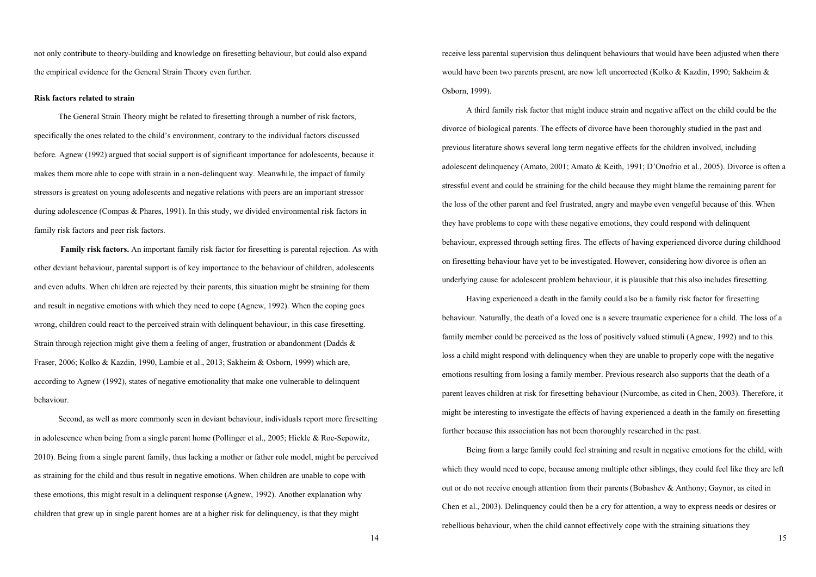not only contribute to theory-building and knowledge on firesetting behaviour, but could also expand the empirical evidence for the General Strain Theory even further.

#### **Risk factors related to strain**

The General Strain Theory might be related to firesetting through a number of risk factors, specifically the ones related to the child's environment, contrary to the individual factors discussed before*.* Agnew (1992) argued that social support is of significant importance for adolescents, because it makes them more able to cope with strain in a non-delinquent way. Meanwhile, the impact of family stressors is greatest on young adolescents and negative relations with peers are an important stressor during adolescence (Compas & Phares, 1991). In this study, we divided environmental risk factors in family risk factors and peer risk factors.

**Family risk factors.** An important family risk factor for firesetting is parental rejection. As with other deviant behaviour, parental support is of key importance to the behaviour of children, adolescents and even adults. When children are rejected by their parents, this situation might be straining for them and result in negative emotions with which they need to cope (Agnew, 1992). When the coping goes wrong, children could react to the perceived strain with delinquent behaviour, in this case firesetting. Strain through rejection might give them a feeling of anger, frustration or abandonment (Dadds & Fraser, 2006; Kolko & Kazdin, 1990, Lambie et al., 2013; Sakheim & Osborn, 1999) which are, according to Agnew (1992), states of negative emotionality that make one vulnerable to delinquent behaviour.

 Second, as well as more commonly seen in deviant behaviour, individuals report more firesetting in adolescence when being from a single parent home (Pollinger et al., 2005; Hickle & Roe-Sepowitz, 2010). Being from a single parent family, thus lacking a mother or father role model, might be perceived as straining for the child and thus result in negative emotions. When children are unable to cope with these emotions, this might result in a delinquent response (Agnew, 1992). Another explanation why children that grew up in single parent homes are at a higher risk for delinquency, is that they might

receive less parental supervision thus delinquent behaviours that would have been adjusted when there would have been two parents present, are now left uncorrected (Kolko & Kazdin, 1990; Sakheim & Osborn, 1999).

 A third family risk factor that might induce strain and negative affect on the child could be the divorce of biological parents. The effects of divorce have been thoroughly studied in the past and previous literature shows several long term negative effects for the children involved, including adolescent delinquency (Amato, 2001; Amato & Keith, 1991; D'Onofrio et al., 2005). Divorce is often a stressful event and could be straining for the child because they might blame the remaining parent for the loss of the other parent and feel frustrated, angry and maybe even vengeful because of this. When they have problems to cope with these negative emotions, they could respond with delinquent behaviour, expressed through setting fires. The effects of having experienced divorce during childhood on firesetting behaviour have yet to be investigated. However, considering how divorce is often an underlying cause for adolescent problem behaviour, it is plausible that this also includes firesetting.

 Having experienced a death in the family could also be a family risk factor for firesetting behaviour. Naturally, the death of a loved one is a severe traumatic experience for a child. The loss of a family member could be perceived as the loss of positively valued stimuli (Agnew, 1992) and to this loss a child might respond with delinquency when they are unable to properly cope with the negative emotions resulting from losing a family member. Previous research also supports that the death of a parent leaves children at risk for firesetting behaviour (Nurcombe, as cited in Chen, 2003). Therefore, it might be interesting to investigate the effects of having experienced a death in the family on firesetting further because this association has not been thoroughly researched in the past.

 Being from a large family could feel straining and result in negative emotions for the child, with which they would need to cope, because among multiple other siblings, they could feel like they are left out or do not receive enough attention from their parents (Bobashev & Anthony; Gaynor, as cited in Chen et al., 2003). Delinquency could then be a cry for attention, a way to express needs or desires or rebellious behaviour, when the child cannot effectively cope with the straining situations they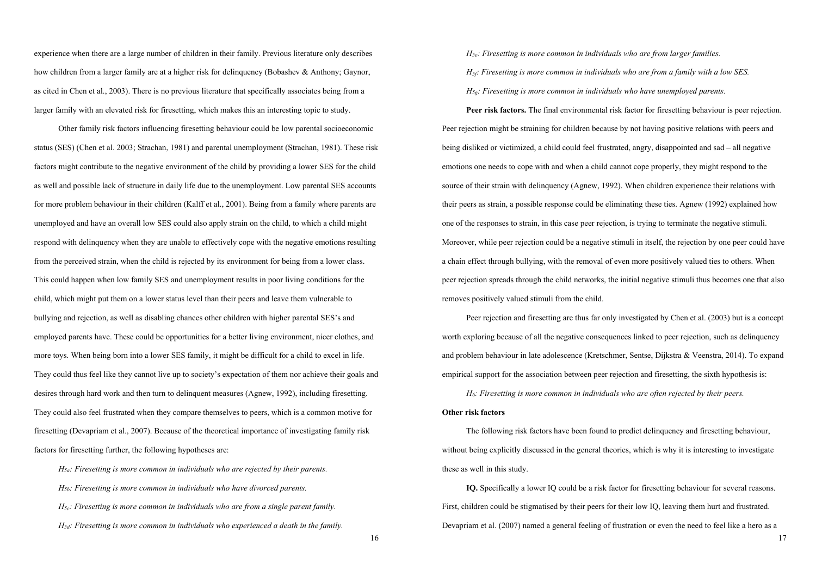experience when there are a large number of children in their family. Previous literature only describes how children from a larger family are at a higher risk for delinquency (Bobashev & Anthony; Gaynor, as cited in Chen et al., 2003). There is no previous literature that specifically associates being from a larger family with an elevated risk for firesetting, which makes this an interesting topic to study.

 Other family risk factors influencing firesetting behaviour could be low parental socioeconomic status (SES) (Chen et al. 2003; Strachan, 1981) and parental unemployment (Strachan, 1981). These risk factors might contribute to the negative environment of the child by providing a lower SES for the child as well and possible lack of structure in daily life due to the unemployment. Low parental SES accounts for more problem behaviour in their children (Kalff et al., 2001). Being from a family where parents are unemployed and have an overall low SES could also apply strain on the child, to which a child might respond with delinquency when they are unable to effectively cope with the negative emotions resulting from the perceived strain, when the child is rejected by its environment for being from a lower class. This could happen when low family SES and unemployment results in poor living conditions for the child, which might put them on a lower status level than their peers and leave them vulnerable to bullying and rejection, as well as disabling chances other children with higher parental SES's and employed parents have. These could be opportunities for a better living environment, nicer clothes, and more toys. When being born into a lower SES family, it might be difficult for a child to excel in life. They could thus feel like they cannot live up to society's expectation of them nor achieve their goals and desires through hard work and then turn to delinquent measures (Agnew, 1992), including firesetting. They could also feel frustrated when they compare themselves to peers, which is a common motive for firesetting (Devapriam et al., 2007). Because of the theoretical importance of investigating family risk factors for firesetting further, the following hypotheses are:

*H5a: Firesetting is more common in individuals who are rejected by their parents. H5b: Firesetting is more common in individuals who have divorced parents. H5c: Firesetting is more common in individuals who are from a single parent family. H5d: Firesetting is more common in individuals who experienced a death in the family.*   *H5e: Firesetting is more common in individuals who are from larger families.* 

 *H5f: Firesetting is more common in individuals who are from a family with a low SES.* 

 *H5g: Firesetting is more common in individuals who have unemployed parents.*

 **Peer risk factors.** The final environmental risk factor for firesetting behaviour is peer rejection. Peer rejection might be straining for children because by not having positive relations with peers and being disliked or victimized, a child could feel frustrated, angry, disappointed and sad – all negative emotions one needs to cope with and when a child cannot cope properly, they might respond to the source of their strain with delinquency (Agnew, 1992). When children experience their relations with their peers as strain, a possible response could be eliminating these ties. Agnew (1992) explained how one of the responses to strain, in this case peer rejection, is trying to terminate the negative stimuli. Moreover, while peer rejection could be a negative stimuli in itself, the rejection by one peer could have a chain effect through bullying, with the removal of even more positively valued ties to others. When peer rejection spreads through the child networks, the initial negative stimuli thus becomes one that also removes positively valued stimuli from the child.

 Peer rejection and firesetting are thus far only investigated by Chen et al. (2003) but is a concept worth exploring because of all the negative consequences linked to peer rejection, such as delinquency and problem behaviour in late adolescence (Kretschmer, Sentse, Dijkstra & Veenstra, 2014). To expand empirical support for the association between peer rejection and firesetting, the sixth hypothesis is:

*H6: Firesetting is more common in individuals who are often rejected by their peers.*

# **Other risk factors**

The following risk factors have been found to predict delinquency and firesetting behaviour, without being explicitly discussed in the general theories, which is why it is interesting to investigate these as well in this study.

 **IQ.** Specifically a lower IQ could be a risk factor for firesetting behaviour for several reasons. First, children could be stigmatised by their peers for their low IQ, leaving them hurt and frustrated. Devapriam et al. (2007) named a general feeling of frustration or even the need to feel like a hero as a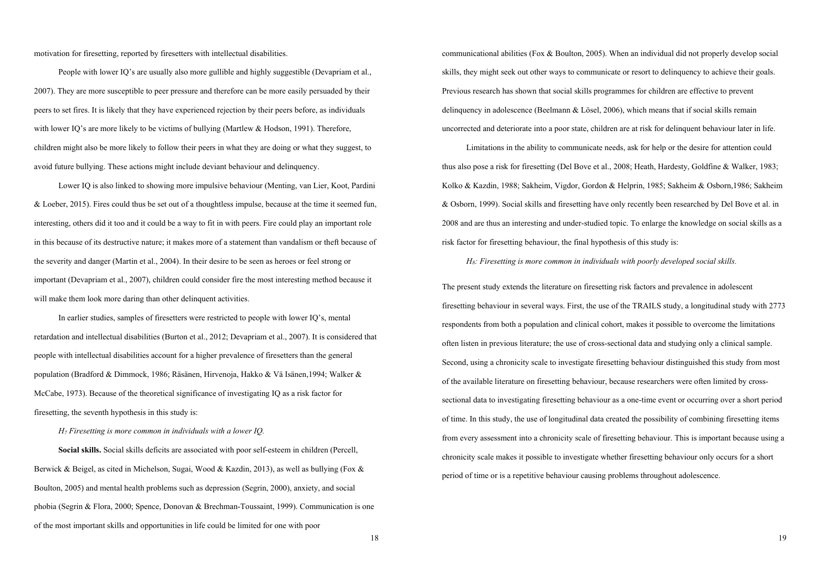motivation for firesetting, reported by firesetters with intellectual disabilities.

 People with lower IQ's are usually also more gullible and highly suggestible (Devapriam et al., 2007). They are more susceptible to peer pressure and therefore can be more easily persuaded by their peers to set fires. It is likely that they have experienced rejection by their peers before, as individuals with lower IO's are more likely to be victims of bullying (Martlew & Hodson, 1991). Therefore, children might also be more likely to follow their peers in what they are doing or what they suggest, to avoid future bullying. These actions might include deviant behaviour and delinquency.

 Lower IQ is also linked to showing more impulsive behaviour (Menting, van Lier, Koot, Pardini & Loeber, 2015). Fires could thus be set out of a thoughtless impulse, because at the time it seemed fun, interesting, others did it too and it could be a way to fit in with peers. Fire could play an important role in this because of its destructive nature; it makes more of a statement than vandalism or theft because of the severity and danger (Martin et al., 2004). In their desire to be seen as heroes or feel strong or important (Devapriam et al., 2007), children could consider fire the most interesting method because it will make them look more daring than other delinquent activities.

 In earlier studies, samples of firesetters were restricted to people with lower IQ's, mental retardation and intellectual disabilities (Burton et al., 2012; Devapriam et al., 2007). It is considered that people with intellectual disabilities account for a higher prevalence of firesetters than the general population (Bradford & Dimmock, 1986; Räsänen, Hirvenoja, Hakko & Vä Isänen,1994; Walker & McCabe, 1973). Because of the theoretical significance of investigating IQ as a risk factor for firesetting, the seventh hypothesis in this study is:

*H7 Firesetting is more common in individuals with a lower IQ.*

 **Social skills.** Social skills deficits are associated with poor self-esteem in children (Percell, Berwick & Beigel, as cited in Michelson, Sugai, Wood & Kazdin, 2013), as well as bullying (Fox & Boulton, 2005) and mental health problems such as depression (Segrin, 2000), anxiety, and social phobia (Segrin & Flora, 2000; Spence, Donovan & Brechman-Toussaint, 1999). Communication is one of the most important skills and opportunities in life could be limited for one with poor

communicational abilities (Fox & Boulton, 2005). When an individual did not properly develop social skills, they might seek out other ways to communicate or resort to delinquency to achieve their goals. Previous research has shown that social skills programmes for children are effective to prevent delinquency in adolescence (Beelmann & Lösel, 2006), which means that if social skills remain uncorrected and deteriorate into a poor state, children are at risk for delinquent behaviour later in life.

 Limitations in the ability to communicate needs, ask for help or the desire for attention could thus also pose a risk for firesetting (Del Bove et al., 2008; Heath, Hardesty, Goldfine & Walker, 1983; Kolko & Kazdin, 1988; Sakheim, Vigdor, Gordon & Helprin, 1985; Sakheim & Osborn,1986; Sakheim & Osborn, 1999). Social skills and firesetting have only recently been researched by Del Bove et al. in 2008 and are thus an interesting and under-studied topic. To enlarge the knowledge on social skills as a risk factor for firesetting behaviour, the final hypothesis of this study is:

 *H8: Firesetting is more common in individuals with poorly developed social skills.*

The present study extends the literature on firesetting risk factors and prevalence in adolescent firesetting behaviour in several ways. First, the use of the TRAILS study, a longitudinal study with 2773 respondents from both a population and clinical cohort, makes it possible to overcome the limitations often listen in previous literature; the use of cross-sectional data and studying only a clinical sample. Second, using a chronicity scale to investigate firesetting behaviour distinguished this study from most of the available literature on firesetting behaviour, because researchers were often limited by crosssectional data to investigating firesetting behaviour as a one-time event or occurring over a short period of time. In this study, the use of longitudinal data created the possibility of combining firesetting items from every assessment into a chronicity scale of firesetting behaviour. This is important because using a chronicity scale makes it possible to investigate whether firesetting behaviour only occurs for a short period of time or is a repetitive behaviour causing problems throughout adolescence.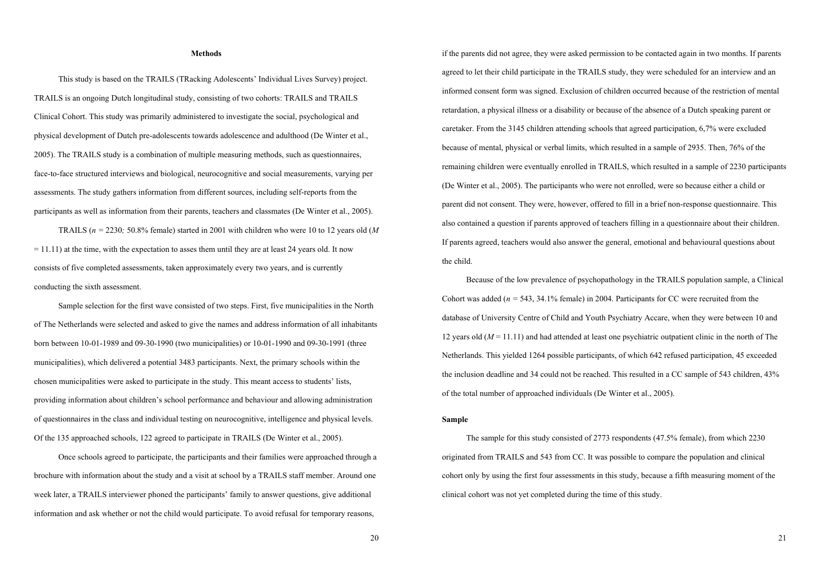# **Methods**

 This study is based on the TRAILS (TRacking Adolescents' Individual Lives Survey) project. TRAILS is an ongoing Dutch longitudinal study, consisting of two cohorts: TRAILS and TRAILS Clinical Cohort. This study was primarily administered to investigate the social, psychological and physical development of Dutch pre-adolescents towards adolescence and adulthood (De Winter et al., 2005). The TRAILS study is a combination of multiple measuring methods, such as questionnaires, face-to-face structured interviews and biological, neurocognitive and social measurements, varying per assessments. The study gathers information from different sources, including self-reports from the participants as well as information from their parents, teachers and classmates (De Winter et al., 2005).

 TRAILS (*n =* 2230*;* 50.8% female) started in 2001 with children who were 10 to 12 years old (*M*  $= 11.11$ ) at the time, with the expectation to asses them until they are at least 24 years old. It now consists of five completed assessments, taken approximately every two years, and is currently conducting the sixth assessment.

 Sample selection for the first wave consisted of two steps. First, five municipalities in the North of The Netherlands were selected and asked to give the names and address information of all inhabitants born between 10-01-1989 and 09-30-1990 (two municipalities) or 10-01-1990 and 09-30-1991 (three municipalities), which delivered a potential 3483 participants. Next, the primary schools within the chosen municipalities were asked to participate in the study. This meant access to students' lists, providing information about children's school performance and behaviour and allowing administration of questionnaires in the class and individual testing on neurocognitive, intelligence and physical levels. Of the 135 approached schools, 122 agreed to participate in TRAILS (De Winter et al., 2005).

 Once schools agreed to participate, the participants and their families were approached through a brochure with information about the study and a visit at school by a TRAILS staff member. Around one week later, a TRAILS interviewer phoned the participants' family to answer questions, give additional information and ask whether or not the child would participate. To avoid refusal for temporary reasons,

if the parents did not agree, they were asked permission to be contacted again in two months. If parents agreed to let their child participate in the TRAILS study, they were scheduled for an interview and an informed consent form was signed. Exclusion of children occurred because of the restriction of mental retardation, a physical illness or a disability or because of the absence of a Dutch speaking parent or caretaker. From the 3145 children attending schools that agreed participation, 6,7% were excluded because of mental, physical or verbal limits, which resulted in a sample of 2935. Then, 76% of the remaining children were eventually enrolled in TRAILS, which resulted in a sample of 2230 participants (De Winter et al., 2005). The participants who were not enrolled, were so because either a child or parent did not consent. They were, however, offered to fill in a brief non-response questionnaire. This also contained a question if parents approved of teachers filling in a questionnaire about their children. If parents agreed, teachers would also answer the general, emotional and behavioural questions about the child.

 Because of the low prevalence of psychopathology in the TRAILS population sample, a Clinical Cohort was added (*n =* 543, 34.1% female) in 2004. Participants for CC were recruited from the database of University Centre of Child and Youth Psychiatry Accare, when they were between 10 and 12 years old (*M* = 11.11) and had attended at least one psychiatric outpatient clinic in the north of The Netherlands. This yielded 1264 possible participants, of which 642 refused participation, 45 exceeded the inclusion deadline and 34 could not be reached. This resulted in a CC sample of 543 children, 43% of the total number of approached individuals (De Winter et al., 2005).

# **Sample**

The sample for this study consisted of 2773 respondents (47.5% female), from which 2230 originated from TRAILS and 543 from CC. It was possible to compare the population and clinical cohort only by using the first four assessments in this study, because a fifth measuring moment of the clinical cohort was not yet completed during the time of this study.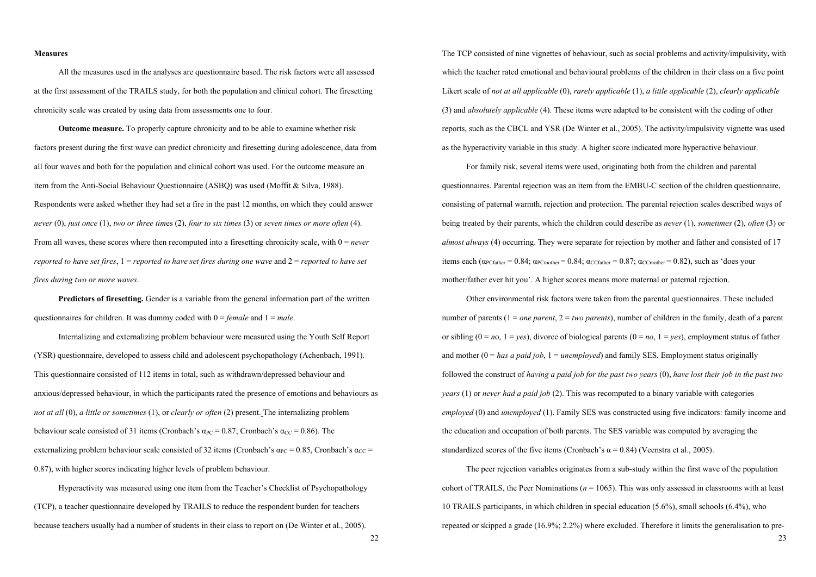# **Measures**

All the measures used in the analyses are questionnaire based. The risk factors were all assessed at the first assessment of the TRAILS study, for both the population and clinical cohort. The firesetting chronicity scale was created by using data from assessments one to four.

 **Outcome measure.** To properly capture chronicity and to be able to examine whether risk factors present during the first wave can predict chronicity and firesetting during adolescence, data from all four waves and both for the population and clinical cohort was used. For the outcome measure an item from the Anti-Social Behaviour Questionnaire (ASBQ) was used (Moffit & Silva, 1988). Respondents were asked whether they had set a fire in the past 12 months, on which they could answer *never* (0), *just once* (1), *two or three tim*es (2), *four to six times* (3) or *seven times or more often* (4). From all waves, these scores where then recomputed into a firesetting chronicity scale, with 0 = *never reported to have set fires,*  $1$  = *reported to have set fires during one wave* and  $2$  = *reported to have set fires during two or more waves*.

**Predictors of firesetting.** Gender is a variable from the general information part of the written questionnaires for children. It was dummy coded with 0 = *female* and 1 = *male*.

 Internalizing and externalizing problem behaviour were measured using the Youth Self Report (YSR) questionnaire, developed to assess child and adolescent psychopathology (Achenbach, 1991). This questionnaire consisted of 112 items in total, such as withdrawn/depressed behaviour and anxious/depressed behaviour, in which the participants rated the presence of emotions and behaviours as *not at all* (0), *a little or sometimes* (1), or *clearly or often* (2) present. The internalizing problem behaviour scale consisted of 31 items (Cronbach's  $\alpha_{PC} = 0.87$ ; Cronbach's  $\alpha_{CC} = 0.86$ ). The externalizing problem behaviour scale consisted of 32 items (Cronbach's  $\alpha_{PC} = 0.85$ , Cronbach's  $\alpha_{CC} =$ 0.87), with higher scores indicating higher levels of problem behaviour.

 Hyperactivity was measured using one item from the Teacher's Checklist of Psychopathology (TCP), a teacher questionnaire developed by TRAILS to reduce the respondent burden for teachers because teachers usually had a number of students in their class to report on (De Winter et al., 2005).

The TCP consisted of nine vignettes of behaviour, such as social problems and activity/impulsivity**,** with which the teacher rated emotional and behavioural problems of the children in their class on a five point Likert scale of *not at all applicable* (0), *rarely applicable* (1), *a little applicable* (2), *clearly applicable* (3) and *absolutely applicable* (4). These items were adapted to be consistent with the coding of other reports, such as the CBCL and YSR (De Winter et al., 2005). The activity/impulsivity vignette was used as the hyperactivity variable in this study. A higher score indicated more hyperactive behaviour.

 For family risk, several items were used, originating both from the children and parental questionnaires. Parental rejection was an item from the EMBU-C section of the children questionnaire, consisting of paternal warmth, rejection and protection. The parental rejection scales described ways of being treated by their parents, which the children could describe as *never* (1), *sometimes* (2), *often* (3) or *almost always* (4) occurring. They were separate for rejection by mother and father and consisted of 17 items each  $(\alpha_{PCfather} = 0.84; \alpha_{PCfather} = 0.84; \alpha_{CCfather} = 0.87; \alpha_{CCfurther} = 0.82)$ , such as 'does your mother/father ever hit you'. A higher scores means more maternal or paternal rejection.

Other environmental risk factors were taken from the parental questionnaires. These included number of parents (1 = *one parent*, 2 = *two parents*), number of children in the family, death of a parent or sibling  $(0 = no, 1 = yes)$ , divorce of biological parents  $(0 = no, 1 = yes)$ , employment status of father and mother  $(0 = has a paid job, 1 = unemployed)$  and family SES. Employment status originally followed the construct of *having a paid job for the past two years* (0), *have lost their job in the past two years* (1) or *never had a paid job* (2). This was recomputed to a binary variable with categories *employed* (0) and *unemployed* (1). Family SES was constructed using five indicators: family income and the education and occupation of both parents. The SES variable was computed by averaging the standardized scores of the five items (Cronbach's  $\alpha$  = 0.84) (Veenstra et al., 2005).

 The peer rejection variables originates from a sub-study within the first wave of the population cohort of TRAILS, the Peer Nominations ( $n = 1065$ ). This was only assessed in classrooms with at least 10 TRAILS participants, in which children in special education (5.6%), small schools (6.4%), who repeated or skipped a grade (16.9%; 2.2%) where excluded. Therefore it limits the generalisation to pre-

23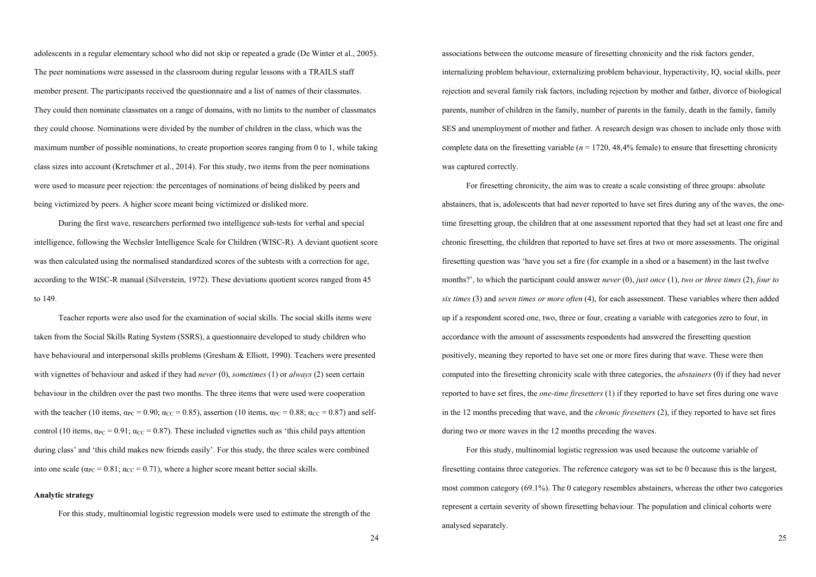adolescents in a regular elementary school who did not skip or repeated a grade (De Winter et al., 2005). The peer nominations were assessed in the classroom during regular lessons with a TRAILS staff member present. The participants received the questionnaire and a list of names of their classmates. They could then nominate classmates on a range of domains, with no limits to the number of classmates they could choose. Nominations were divided by the number of children in the class, which was the maximum number of possible nominations, to create proportion scores ranging from 0 to 1, while taking class sizes into account (Kretschmer et al., 2014). For this study, two items from the peer nominations were used to measure peer rejection: the percentages of nominations of being disliked by peers and being victimized by peers. A higher score meant being victimized or disliked more.

 During the first wave, researchers performed two intelligence sub-tests for verbal and special intelligence, following the Wechsler Intelligence Scale for Children (WISC-R). A deviant quotient score was then calculated using the normalised standardized scores of the subtests with a correction for age, according to the WISC-R manual (Silverstein, 1972). These deviations quotient scores ranged from 45 to 149.

 Teacher reports were also used for the examination of social skills. The social skills items were taken from the Social Skills Rating System (SSRS), a questionnaire developed to study children who have behavioural and interpersonal skills problems (Gresham & Elliott, 1990). Teachers were presented with vignettes of behaviour and asked if they had *never* (0), *sometimes* (1) or *always* (2) seen certain behaviour in the children over the past two months. The three items that were used were cooperation with the teacher (10 items,  $\alpha_{PC} = 0.90$ ;  $\alpha_{CC} = 0.85$ ), assertion (10 items,  $\alpha_{PC} = 0.88$ ;  $\alpha_{CC} = 0.87$ ) and selfcontrol (10 items,  $\alpha_{PC} = 0.91$ ;  $\alpha_{CC} = 0.87$ ). These included vignettes such as 'this child pays attention during class' and 'this child makes new friends easily'. For this study, the three scales were combined into one scale ( $\alpha_{PC} = 0.81$ ;  $\alpha_{CC} = 0.71$ ), where a higher score meant better social skills.

# **Analytic strategy**

For this study, multinomial logistic regression models were used to estimate the strength of the

associations between the outcome measure of firesetting chronicity and the risk factors gender, internalizing problem behaviour, externalizing problem behaviour, hyperactivity, IQ, social skills, peer rejection and several family risk factors, including rejection by mother and father, divorce of biological parents, number of children in the family, number of parents in the family, death in the family, family SES and unemployment of mother and father. A research design was chosen to include only those with complete data on the firesetting variable  $(n = 1720, 48,4\%$  female) to ensure that firesetting chronicity was captured correctly.

 For firesetting chronicity, the aim was to create a scale consisting of three groups: absolute abstainers, that is, adolescents that had never reported to have set fires during any of the waves, the onetime firesetting group, the children that at one assessment reported that they had set at least one fire and chronic firesetting, the children that reported to have set fires at two or more assessments. The original firesetting question was 'have you set a fire (for example in a shed or a basement) in the last twelve months?', to which the participant could answer *never* (0), *just once* (1), *two or three times* (2), *four to six times* (3) and *seven times or more often* (4), for each assessment. These variables where then added up if a respondent scored one, two, three or four, creating a variable with categories zero to four, in accordance with the amount of assessments respondents had answered the firesetting question positively, meaning they reported to have set one or more fires during that wave. These were then computed into the firesetting chronicity scale with three categories, the *abstainers* (0) if they had never reported to have set fires, the *one-time firesetters* (1) if they reported to have set fires during one wave in the 12 months preceding that wave, and the *chronic firesetters* (2), if they reported to have set fires during two or more waves in the 12 months preceding the waves.

 For this study, multinomial logistic regression was used because the outcome variable of firesetting contains three categories. The reference category was set to be 0 because this is the largest, most common category (69.1%). The 0 category resembles abstainers, whereas the other two categories represent a certain severity of shown firesetting behaviour. The population and clinical cohorts were analysed separately.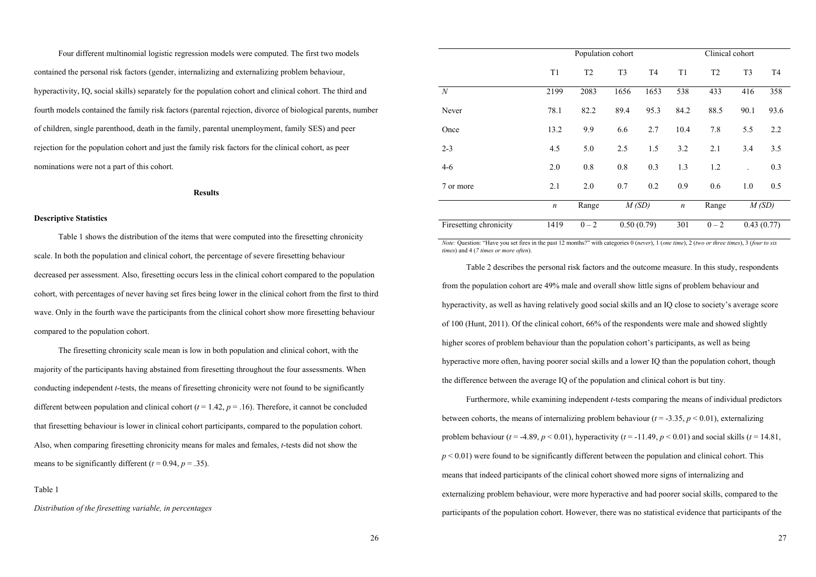Four different multinomial logistic regression models were computed. The first two models contained the personal risk factors (gender, internalizing and externalizing problem behaviour, hyperactivity, IQ, social skills) separately for the population cohort and clinical cohort. The third and fourth models contained the family risk factors (parental rejection, divorce of biological parents, number of children, single parenthood, death in the family, parental unemployment, family SES) and peer rejection for the population cohort and just the family risk factors for the clinical cohort, as peer nominations were not a part of this cohort.

# **Results**

# **Descriptive Statistics**

Table 1 shows the distribution of the items that were computed into the firesetting chronicity scale. In both the population and clinical cohort, the percentage of severe firesetting behaviour decreased per assessment. Also, firesetting occurs less in the clinical cohort compared to the population cohort, with percentages of never having set fires being lower in the clinical cohort from the first to third wave. Only in the fourth wave the participants from the clinical cohort show more firesetting behaviour compared to the population cohort.

 The firesetting chronicity scale mean is low in both population and clinical cohort, with the majority of the participants having abstained from firesetting throughout the four assessments. When conducting independent *t*-tests, the means of firesetting chronicity were not found to be significantly different between population and clinical cohort  $(t = 1.42, p = 0.16)$ . Therefore, it cannot be concluded that firesetting behaviour is lower in clinical cohort participants, compared to the population cohort. Also, when comparing firesetting chronicity means for males and females, *t*-tests did not show the means to be significantly different  $(t = 0.94, p = .35)$ .

Table 1

*Distribution of the firesetting variable, in percentages*

|                        |                  | Population cohort |                |                |                  | Clinical cohort |                |                |
|------------------------|------------------|-------------------|----------------|----------------|------------------|-----------------|----------------|----------------|
|                        | T1               | T <sub>2</sub>    | T <sub>3</sub> | T <sub>4</sub> | T1               | T <sub>2</sub>  | T <sub>3</sub> | T <sub>4</sub> |
| $\boldsymbol{N}$       | 2199             | 2083              | 1656           | 1653           | 538              | 433             | 416            | 358            |
| Never                  | 78.1             | 82.2              | 89.4           | 95.3           | 84.2             | 88.5            | 90.1           | 93.6           |
| Once                   | 13.2             | 9.9               | 6.6            | 2.7            | 10.4             | 7.8             | 5.5            | 2.2            |
| $2 - 3$                | 4.5              | 5.0               | 2.5            | 1.5            | 3.2              | 2.1             | 3.4            | 3.5            |
| $4 - 6$                | 2.0              | 0.8               | 0.8            | 0.3            | 1.3              | 1.2             |                | 0.3            |
| 7 or more              | 2.1              | 2.0               | 0.7            | 0.2            | 0.9              | 0.6             | 1.0            | 0.5            |
|                        | $\boldsymbol{n}$ | Range             | M(SD)          |                | $\boldsymbol{n}$ | Range           |                | M(SD)          |
| Firesetting chronicity | 1419             | $0 - 2$           |                | 0.50(0.79)     | 301              | $0 - 2$         |                | 0.43(0.77)     |

*Note:* Question: "Have you set fires in the past 12 months?" with categories 0 (*never*), 1 (*one time*), 2 (*two or three times*), 3 (*four to six times*) and 4 (*7 times or more often*).

 Table 2 describes the personal risk factors and the outcome measure. In this study, respondents from the population cohort are 49% male and overall show little signs of problem behaviour and hyperactivity, as well as having relatively good social skills and an IQ close to society's average score of 100 (Hunt, 2011). Of the clinical cohort, 66% of the respondents were male and showed slightly higher scores of problem behaviour than the population cohort's participants, as well as being hyperactive more often, having poorer social skills and a lower IQ than the population cohort, though the difference between the average IQ of the population and clinical cohort is but tiny.

 Furthermore, while examining independent *t*-tests comparing the means of individual predictors between cohorts, the means of internalizing problem behaviour  $(t = -3.35, p < 0.01)$ , externalizing problem behaviour ( $t = -4.89$ ,  $p < 0.01$ ), hyperactivity ( $t = -11.49$ ,  $p < 0.01$ ) and social skills ( $t = 14.81$ ,  $p < 0.01$ ) were found to be significantly different between the population and clinical cohort. This means that indeed participants of the clinical cohort showed more signs of internalizing and externalizing problem behaviour, were more hyperactive and had poorer social skills, compared to the participants of the population cohort. However, there was no statistical evidence that participants of the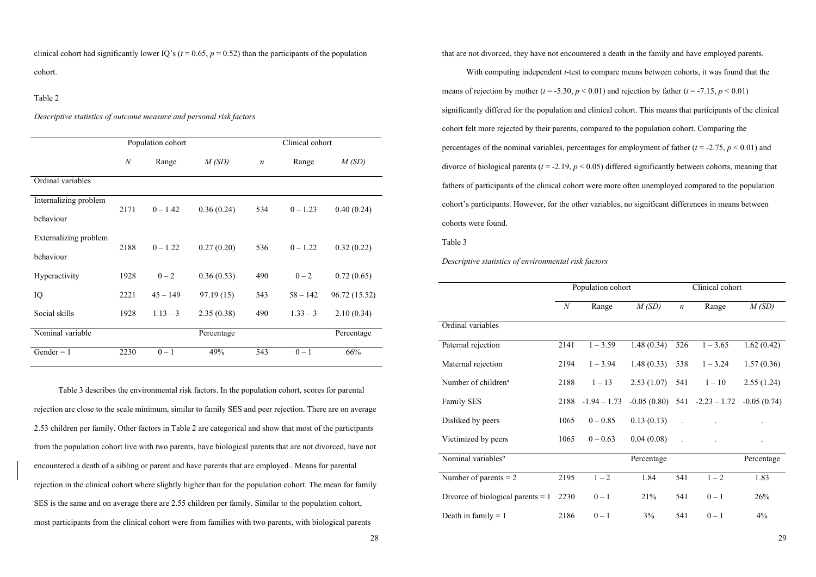clinical cohort had significantly lower IQ's ( $t = 0.65$ ,  $p = 0.52$ ) than the participants of the population cohort.

#### Table 2

*Descriptive statistics of outcome measure and personal risk factors*

|                       |                  | Population cohort |            |                  | Clinical cohort |               |
|-----------------------|------------------|-------------------|------------|------------------|-----------------|---------------|
|                       | $\boldsymbol{N}$ | Range             | M(SD)      | $\boldsymbol{n}$ | Range           | M(SD)         |
|                       |                  |                   |            |                  |                 |               |
| Ordinal variables     |                  |                   |            |                  |                 |               |
| Internalizing problem | 2171             | $0 - 1.42$        |            | 534              | $0 - 1.23$      | 0.40(0.24)    |
| behaviour             |                  |                   | 0.36(0.24) |                  |                 |               |
| Externalizing problem | 2188             | $0 - 1.22$        | 0.27(0.20) | 536              | $0 - 1.22$      | 0.32(0.22)    |
| behaviour             |                  |                   |            |                  |                 |               |
| Hyperactivity         | 1928             | $0 - 2$           | 0.36(0.53) | 490              | $0 - 2$         | 0.72(0.65)    |
| IQ                    | 2221             | $45 - 149$        | 97.19(15)  | 543              | $58 - 142$      | 96.72 (15.52) |
| Social skills         | 1928             | $1.13 - 3$        | 2.35(0.38) | 490              | $1.33 - 3$      | 2.10(0.34)    |
| Nominal variable      |                  |                   | Percentage |                  |                 | Percentage    |
| $Gender = 1$          | 2230             | $0 - 1$           | 49%        | 543              | $0 - 1$         | 66%           |

 Table 3 describes the environmental risk factors. In the population cohort, scores for parental rejection are close to the scale minimum, similar to family SES and peer rejection. There are on average 2.53 children per family. Other factors in Table 2 are categorical and show that most of the participants from the population cohort live with two parents, have biological parents that are not divorced, have not encountered a death of a sibling or parent and have parents that are employed . Means for parental rejection in the clinical cohort where slightly higher than for the population cohort. The mean for family SES is the same and on average there are 2.55 children per family. Similar to the population cohort, most participants from the clinical cohort were from families with two parents, with biological parents

that are not divorced, they have not encountered a death in the family and have employed parents.

 With computing independent *t*-test to compare means between cohorts, it was found that the means of rejection by mother ( $t = -5.30$ ,  $p < 0.01$ ) and rejection by father ( $t = -7.15$ ,  $p < 0.01$ ) significantly differed for the population and clinical cohort. This means that participants of the clinical cohort felt more rejected by their parents, compared to the population cohort. Comparing the percentages of the nominal variables, percentages for employment of father  $(t = -2.75, p < 0.01)$  and divorce of biological parents  $(t = -2.19, p < 0.05)$  differed significantly between cohorts, meaning that fathers of participants of the clinical cohort were more often unemployed compared to the population cohort's participants. However, for the other variables, no significant differences in means between cohorts were found.

Table 3

*Descriptive statistics of environmental risk factors* 

|                                     |      | Population cohort    |            |                  | Clinical cohort                                |            |
|-------------------------------------|------|----------------------|------------|------------------|------------------------------------------------|------------|
|                                     | N    | Range                | M(SD)      | $\boldsymbol{n}$ | Range                                          | M(SD)      |
| Ordinal variables                   |      |                      |            |                  |                                                |            |
| Paternal rejection                  | 2141 | $1 - 3.59$           | 1.48(0.34) | 526              | $1 - 3.65$                                     | 1.62(0.42) |
| Maternal rejection                  | 2194 | $1 - 3.94$           | 1.48(0.33) | 538              | $1 - 3.24$                                     | 1.57(0.36) |
| Number of children <sup>a</sup>     | 2188 | $1 - 13$             | 2.53(1.07) | 541              | $1 - 10$                                       | 2.55(1.24) |
| Family SES                          |      | $2188 - 1.94 - 1.73$ |            |                  | $-0.05(0.80)$ 541 $-2.23 - 1.72$ $-0.05(0.74)$ |            |
| Disliked by peers                   | 1065 | $0 - 0.85$           | 0.13(0.13) |                  |                                                |            |
| Victimized by peers                 | 1065 | $0 - 0.63$           | 0.04(0.08) |                  |                                                |            |
| Nominal variables <sup>b</sup>      |      |                      | Percentage |                  |                                                | Percentage |
| Number of parents $= 2$             | 2195 | $1 - 2$              | 1.84       | 541              | $1 - 2$                                        | 1.83       |
| Divorce of biological parents $= 1$ | 2230 | $0 - 1$              | 21%        | 541              | $0-1$                                          | 26%        |
| Death in family $= 1$               | 2186 | $0 - 1$              | 3%         | 541              | $0 - 1$                                        | 4%         |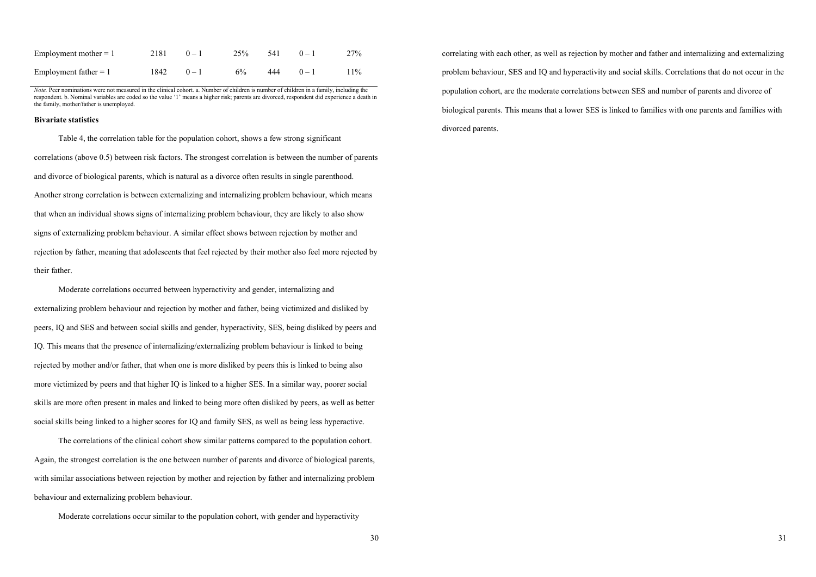| Employment mother $= 1$ | $2181 \t 0-1$     | 25%   | $541 \qquad 0-1$ | 27%    |
|-------------------------|-------------------|-------|------------------|--------|
| Employment father $= 1$ | $1842 \qquad 0-1$ | $6\%$ | $444 \qquad 0-1$ | $11\%$ |

*Note.* Peer nominations were not measured in the clinical cohort. a. Number of children is number of children in a family, including the respondent. b. Nominal variables are coded so the value '1' means a higher risk; parents are divorced, respondent did experience a death in the family, mother/father is unemployed.

#### **Bivariate statistics**

 Table 4, the correlation table for the population cohort, shows a few strong significant correlations (above 0.5) between risk factors. The strongest correlation is between the number of parents and divorce of biological parents, which is natural as a divorce often results in single parenthood. Another strong correlation is between externalizing and internalizing problem behaviour, which means that when an individual shows signs of internalizing problem behaviour, they are likely to also show signs of externalizing problem behaviour. A similar effect shows between rejection by mother and rejection by father, meaning that adolescents that feel rejected by their mother also feel more rejected by their father.

 Moderate correlations occurred between hyperactivity and gender, internalizing and externalizing problem behaviour and rejection by mother and father, being victimized and disliked by peers, IQ and SES and between social skills and gender, hyperactivity, SES, being disliked by peers and IQ. This means that the presence of internalizing/externalizing problem behaviour is linked to being rejected by mother and/or father, that when one is more disliked by peers this is linked to being also more victimized by peers and that higher IQ is linked to a higher SES. In a similar way, poorer social skills are more often present in males and linked to being more often disliked by peers, as well as better social skills being linked to a higher scores for IQ and family SES, as well as being less hyperactive.

 The correlations of the clinical cohort show similar patterns compared to the population cohort. Again, the strongest correlation is the one between number of parents and divorce of biological parents, with similar associations between rejection by mother and rejection by father and internalizing problem behaviour and externalizing problem behaviour.

Moderate correlations occur similar to the population cohort, with gender and hyperactivity

correlating with each other, as well as rejection by mother and father and internalizing and externalizing problem behaviour, SES and IQ and hyperactivity and social skills. Correlations that do not occur in the population cohort, are the moderate correlations between SES and number of parents and divorce of biological parents. This means that a lower SES is linked to families with one parents and families with divorced parents.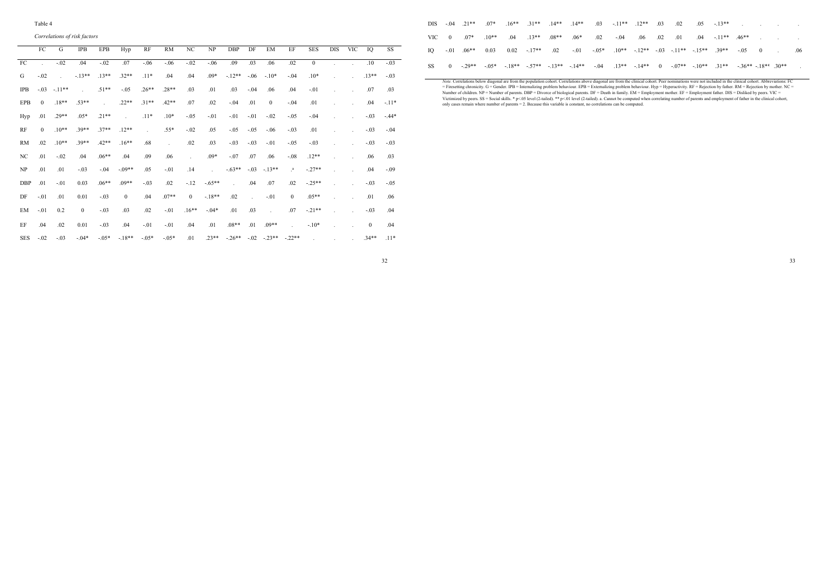#### Table 4

*Correlations of risk factors* 

|            | FC       | G       | <b>IPB</b>    | EPB     | Hyp                        | RF      | <b>RM</b> | NC             | NP                          | <b>DBP</b>                  | DF            | EM           | EF                          | <b>SES</b> | <b>DIS</b> | <b>VIC</b> | IQ           | SS      |
|------------|----------|---------|---------------|---------|----------------------------|---------|-----------|----------------|-----------------------------|-----------------------------|---------------|--------------|-----------------------------|------------|------------|------------|--------------|---------|
| FC         | $\sim$   | $-.02$  | .04           | $-.02$  | .07                        | $-.06$  | $-.06$    | $-.02$         | $-.06$                      | .09                         | .03           | .06          | .02                         | $\theta$   |            |            | .10          | $-.03$  |
| G          | $-.02$   | in 1    | $-13**$       | $.13**$ | $.32**$                    | $.11*$  | .04       | .04            | $.09*$                      | $-12**$                     | $-.06$        | $-.10*$      | $-.04$                      | $.10*$     |            |            | $.13**$      | $-.03$  |
| <b>IPB</b> | $-.03$   | $-11**$ | $\mathcal{L}$ | $.51**$ | $-.05$                     | $.26**$ | $.28**$   | .03            | .01                         | .03                         | $-.04$        | .06          | .04                         | $-.01$     |            |            | .07          | .03     |
| <b>EPB</b> | $\Omega$ | $.18**$ | 53**          |         | $22**$                     | $.31**$ | $42**$    | .07            | .02                         | $-.04$                      | .01           | $\mathbf{0}$ | $-.04$                      | .01        |            |            | .04          | $-.11*$ |
| Hyp        | .01      | $.29**$ | $.05*$        | $.21**$ | $\mathcal{L}^{\text{max}}$ | $.11*$  | $.10*$    | $-.05$         | $-.01$                      | $-.01$                      | $-.01$        | $-.02$       | $-.05$                      | $-.04$     |            |            | $-.03$       | $-44*$  |
| RF         | $\Omega$ | $.10**$ | $.39**$       | $37**$  | $.12**$                    | s.      | $.55*$    | $-.02$         | .05                         | $-.05$                      | $-.05$        | $-.06$       | $-.03$                      | .01        |            |            | $-.03$       | $-.04$  |
| RM         | 02       | $.10**$ | $.39**$       | $.42**$ | $.16***$                   | .68     | $\sim$    | .02            | .03                         | $-03$                       | $-.03$        | $-.01$       | $-.05$                      | $-.03$     |            |            | $-.03$       | $-.03$  |
| NC         | .01      | $-.02$  | .04           | $.06**$ | .04                        | .09     | .06       |                | $.09*$                      | $-.07$                      | .07           | .06          | $-.08$                      | $.12**$    |            |            | .06          | .03     |
| NP         | .01      | .01     | $-.03$        | $-.04$  | $-.09**$                   | .05     | $-.01$    | .14            | $\mathcal{L}^{\mathcal{L}}$ | $-.63**$                    | $-.03$        | $-13**$      | $\cdot^a$                   | $-.27**$   |            |            | .04          | $-.09$  |
| <b>DBP</b> | .01      | $-.01$  | 0.03          | $.06**$ | $09**$                     | $-.03$  | .02       | $-12$          | $-.65**$                    | $\mathcal{L}^{\mathcal{A}}$ | .04           | .07          | .02                         | $-.25**$   |            |            | $-.03$       | $-.05$  |
| DF         | $-.01$   | .01     | 0.01          | $-.03$  | $\mathbf{0}$               | .04     | $.07**$   | $\overline{0}$ | $-.18**$                    | .02                         | $\mathcal{L}$ | $-.01$       | $\mathbf{0}$                | $.05**$    |            |            | .01          | .06     |
| EM         | $-.01$   | 0.2     | $\mathbf{0}$  | $-.03$  | .03                        | .02     | $-.01$    | $.16***$       | $-.04*$                     | .01                         | .03           | $\sim$       | .07                         | $-.21**$   |            |            | $-.03$       | .04     |
| EF         | .04      | .02     | 0.01          | $-.03$  | .04                        | $-.01$  | $-.01$    | .04            | .01                         | $.08**$                     | .01           | $.09**$      | $\mathcal{L}^{\mathcal{A}}$ | $-.10*$    |            |            | $\mathbf{0}$ | .04     |
| <b>SES</b> | $-.02$   | $-.03$  | $-04*$        | $-.05*$ | $-18**$                    | $-.05*$ | $-.05*$   | .01            | $23**$                      | $-26**$                     |               | $-02 - 23**$ | $-22**$                     |            |            |            | $34**$       | $11*$   |

|    |                            |                                         |         | DIS $0.04$ $21***$ $0.07*$ $16***$ $31***$ $14***$ $14***$ $0.03$ $11***$ $12***$ $0.03$                         |  |  | $02 \t 05 \t -13**$ |                                                              |  | the contract of the contract of the contract of |  |
|----|----------------------------|-----------------------------------------|---------|------------------------------------------------------------------------------------------------------------------|--|--|---------------------|--------------------------------------------------------------|--|-------------------------------------------------|--|
|    | VIC $0^{18}$ 07* $10^{**}$ | $.04 \qquad 13**$                       | $.08**$ | $.06*$                                                                                                           |  |  |                     | $.02 \t .04 \t .06 \t .02 \t .01 \t .04 \t .11*** \t .46***$ |  |                                                 |  |
| IO |                            | $-0.01$ $0.06**$ 0.03 0.02 $-17**$ 0.02 |         | $-01$ $-05^*$ $10^{**}$ $-12^{**}$ $-03$ $-11^{**}$ $-15^{**}$ $-39^{**}$ $-05$ 0                                |  |  |                     |                                                              |  |                                                 |  |
| SS | $0 \quad -29**$            |                                         |         | $-0.05*$ $-18**$ $-57**$ $-13**$ $-14**$ $-04$ $-13**$ $-14**$ 0 $-07**$ $-10**$ $-31**$ $-36**$ $-18**$ $-30**$ |  |  |                     |                                                              |  |                                                 |  |

Note. Correlations below diagonal are from the population cohort. Correlations above diagonal are from the clinical cohort. Peer nominations were not included in the clinical cohort. Notherwistions: FC = Firsteralizing pro

32

33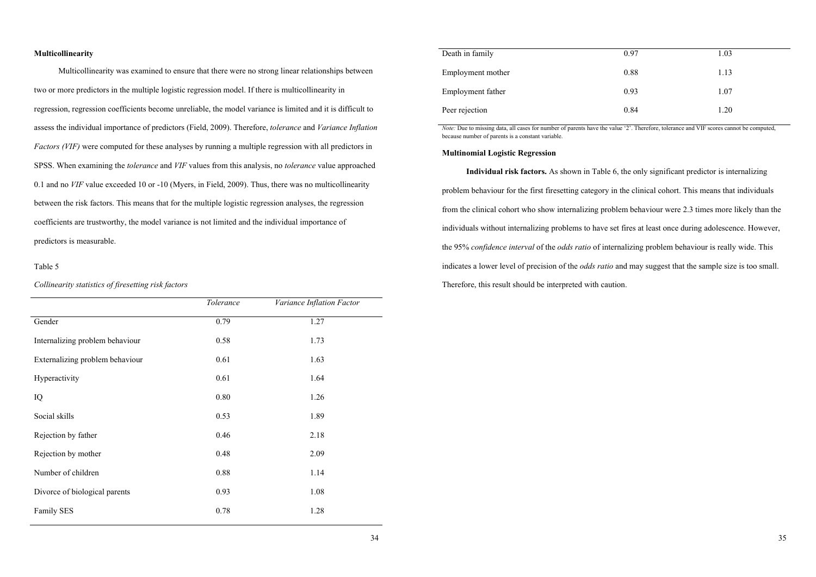# **Multicollinearity**

 Multicollinearity was examined to ensure that there were no strong linear relationships between two or more predictors in the multiple logistic regression model. If there is multicollinearity in regression, regression coefficients become unreliable, the model variance is limited and it is difficult to assess the individual importance of predictors (Field, 2009). Therefore, *tolerance* and *Variance Inflation Factors (VIF)* were computed for these analyses by running a multiple regression with all predictors in SPSS. When examining the *tolerance* and *VIF* values from this analysis, no *tolerance* value approached 0.1 and no *VIF* value exceeded 10 or -10 (Myers, in Field, 2009). Thus, there was no multicollinearity between the risk factors. This means that for the multiple logistic regression analyses, the regression coefficients are trustworthy, the model variance is not limited and the individual importance of predictors is measurable.

# Table 5

*Collinearity statistics of firesetting risk factors*

|                                 | Tolerance | Variance Inflation Factor |
|---------------------------------|-----------|---------------------------|
| Gender                          | 0.79      | 1.27                      |
| Internalizing problem behaviour | 0.58      | 1.73                      |
| Externalizing problem behaviour | 0.61      | 1.63                      |
| Hyperactivity                   | 0.61      | 1.64                      |
| IQ                              | 0.80      | 1.26                      |
| Social skills                   | 0.53      | 1.89                      |
| Rejection by father             | 0.46      | 2.18                      |
| Rejection by mother             | 0.48      | 2.09                      |
| Number of children              | 0.88      | 1.14                      |
| Divorce of biological parents   | 0.93      | 1.08                      |
| Family SES                      | 0.78      | 1.28                      |

| Death in family   | 0.97 | 1.03 |
|-------------------|------|------|
| Employment mother | 0.88 | 1.13 |
| Employment father | 0.93 | 1.07 |
| Peer rejection    | 0.84 | 1.20 |

*Note:* Due to missing data, all cases for number of parents have the value '2'. Therefore, tolerance and VIF scores cannot be computed. because number of parents is a constant variable.

# **Multinomial Logistic Regression**

 **Individual risk factors.** As shown in Table 6, the only significant predictor is internalizing problem behaviour for the first firesetting category in the clinical cohort. This means that individuals from the clinical cohort who show internalizing problem behaviour were 2.3 times more likely than the individuals without internalizing problems to have set fires at least once during adolescence. However, the 95% *confidence interval* of the *odds ratio* of internalizing problem behaviour is really wide. This indicates a lower level of precision of the *odds ratio* and may suggest that the sample size is too small. Therefore, this result should be interpreted with caution.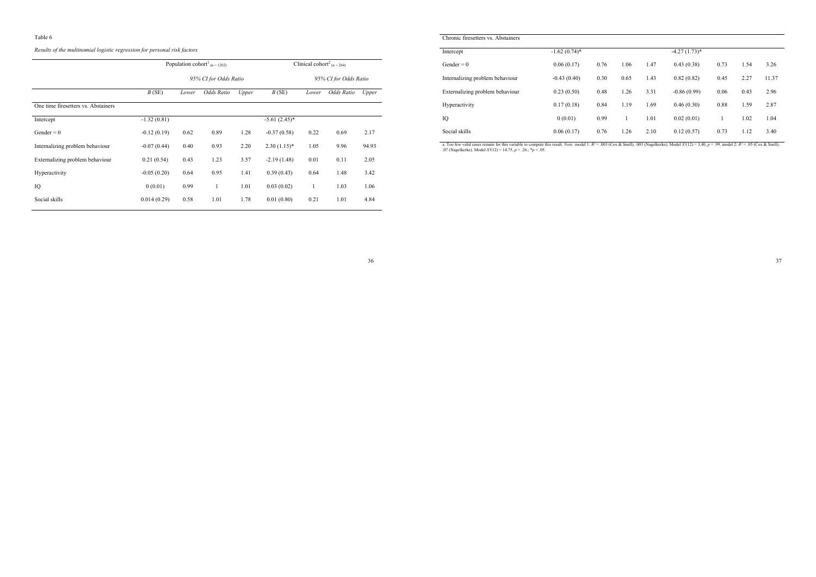#### Table 6

*Results of the multinomial logistic regression for personal risk factors*

|                                     |               |       | Population cohort <sup>1</sup> (n = 1202) |       |                 | Clinical cohort <sup>2</sup> (n = 264) |                       |       |
|-------------------------------------|---------------|-------|-------------------------------------------|-------|-----------------|----------------------------------------|-----------------------|-------|
|                                     |               |       | 95% CI for Odds Ratio                     |       |                 |                                        | 95% CI for Odds Ratio |       |
|                                     | B(SE)         | Lower | Odds Ratio                                | Upper | B(SE)           | Lower                                  | Odds Ratio            | Upper |
| One time firesetters vs. Abstainers |               |       |                                           |       |                 |                                        |                       |       |
| Intercept                           | $-1.32(0.81)$ |       |                                           |       | $-5.61(2.45)^*$ |                                        |                       |       |
| Gender = $0$                        | $-0.12(0.19)$ | 0.62  | 0.89                                      | 1.28  | $-0.37(0.58)$   | 0.22                                   | 0.69                  | 2.17  |
| Internalizing problem behaviour     | $-0.07(0.44)$ | 0.40  | 0.93                                      | 2.20  | $2.30(1.15)*$   | 1.05                                   | 9.96                  | 94.93 |
| Externalizing problem behaviour     | 0.21(0.54)    | 0.43  | 1.23                                      | 3.57  | $-2.19(1.48)$   | 0.01                                   | 0.11                  | 2.05  |
| Hyperactivity                       | $-0.05(0.20)$ | 0.64  | 0.95                                      | 1.41  | 0.39(0.43)      | 0.64                                   | 1.48                  | 3.42  |
| IQ                                  | 0(0.01)       | 0.99  | 1                                         | 1.01  | 0.03(0.02)      | 1                                      | 1.03                  | 1.06  |
| Social skills                       | 0.014(0.29)   | 0.58  | 1.01                                      | 1.78  | 0.01(0.80)      | 0.21                                   | 1.01                  | 4.84  |

| Chronic firesetters vs. Abstainers |                 |      |      |      |                 |      |      |       |
|------------------------------------|-----------------|------|------|------|-----------------|------|------|-------|
| Intercept                          | $-1.62(0.74)$ * |      |      |      | $-4.27(1.73)$ * |      |      |       |
| $Gender = 0$                       | 0.06(0.17)      | 0.76 | 1.06 | 1.47 | 0.43(0.38)      | 0.73 | 1.54 | 3.26  |
| Internalizing problem behaviour    | $-0.43(0.40)$   | 0.30 | 0.65 | 1.43 | 0.82(0.82)      | 0.45 | 2.27 | 11.37 |
| Externalizing problem behaviour    | 0.23(0.50)      | 0.48 | 1.26 | 3.31 | $-0.86(0.99)$   | 0.06 | 0.43 | 2.96  |
| Hyperactivity                      | 0.17(0.18)      | 0.84 | 1.19 | 1.69 | 0.46(0.30)      | 0.88 | 1.59 | 2.87  |
| IQ                                 | 0(0.01)         | 0.99 |      | 1.01 | 0.02(0.01)      | ш    | 1.02 | 1.04  |
| Social skills                      | 0.06(0.17)      | 0.76 | 1.26 | 2.10 | 0.12(0.57)      | 0.73 | 1.12 | 3.40  |

a. Too few valid cases remain for this variable to compute this result. *Note:* model 1:  $R$  = .003 (Cox & Snell), .003 (Nagelkerke). Model X<sup>2</sup>(12) = 3,40, p = .99. model 2:  $R$  = .05 (Cox & Snell),<br>.07 (Nagelkerke). Mode

37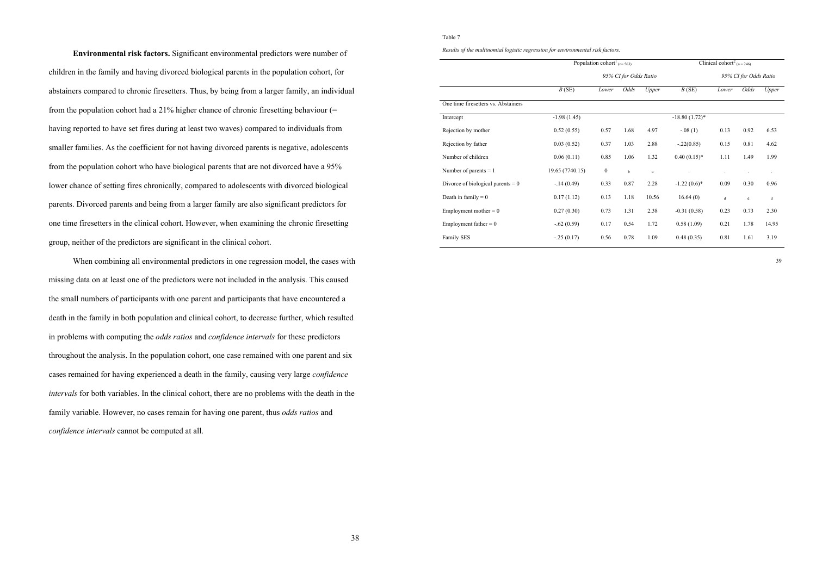**Environmental risk factors.** Significant environmental predictors were number of children in the family and having divorced biological parents in the population cohort, for abstainers compared to chronic firesetters. Thus, by being from a larger family, an individual from the population cohort had a 21% higher chance of chronic firesetting behaviour (= having reported to have set fires during at least two waves) compared to individuals from smaller families. As the coefficient for not having divorced parents is negative, adolescents from the population cohort who have biological parents that are not divorced have a 95% lower chance of setting fires chronically, compared to adolescents with divorced biological parents. Divorced parents and being from a larger family are also significant predictors for one time firesetters in the clinical cohort. However, when examining the chronic firesetting group, neither of the predictors are significant in the clinical cohort.

 When combining all environmental predictors in one regression model, the cases with missing data on at least one of the predictors were not included in the analysis. This caused the small numbers of participants with one parent and participants that have encountered a death in the family in both population and clinical cohort, to decrease further, which resulted in problems with computing the *odds ratios* and *confidence intervals* for these predictors throughout the analysis. In the population cohort, one case remained with one parent and six cases remained for having experienced a death in the family, causing very large *confidence intervals* for both variables. In the clinical cohort, there are no problems with the death in the family variable. However, no cases remain for having one parent, thus *odds ratios* and *confidence intervals* cannot be computed at all.

### Table 7

*Results of the multinomial logistic regression for environmental risk factors.* 

|                                     |                 | Population cohort <sup>1</sup> ( $n=563$ ) |                       |              |                  | Clinical cohort <sup>2</sup> ( $n = 246$ ) |                       |             |
|-------------------------------------|-----------------|--------------------------------------------|-----------------------|--------------|------------------|--------------------------------------------|-----------------------|-------------|
|                                     |                 |                                            | 95% CI for Odds Ratio |              |                  |                                            | 95% CI for Odds Ratio |             |
|                                     | B(SE)           | Lower                                      | Odds                  | Upper        | B(SE)            | Lower                                      | Odds                  | Upper       |
| One time firesetters vs. Abstainers |                 |                                            |                       |              |                  |                                            |                       |             |
| Intercept                           | $-1.98(1.45)$   |                                            |                       |              | $-18.80(1.72)$ * |                                            |                       |             |
| Rejection by mother                 | 0.52(0.55)      | 0.57                                       | 1.68                  | 4.97         | $-.08(1)$        | 0.13                                       | 0.92                  | 6.53        |
| Rejection by father                 | 0.03(0.52)      | 0.37                                       | 1.03                  | 2.88         | $-.22(0.85)$     | 0.15                                       | 0.81                  | 4.62        |
| Number of children                  | 0.06(0.11)      | 0.85                                       | 1.06                  | 1.32         | $0.40(0.15)*$    | 1.11                                       | 1.49                  | 1.99        |
| Number of parents $= 1$             | 19.65 (7740.15) | $\boldsymbol{0}$                           | b                     | $\mathbf{a}$ |                  |                                            |                       | $\cdot$     |
| Divorce of biological parents $= 0$ | $-14(0.49)$     | 0.33                                       | 0.87                  | 2.28         | $-1.22(0.6)$ *   | 0.09                                       | 0.30                  | 0.96        |
| Death in family $= 0$               | 0.17(1.12)      | 0.13                                       | 1.18                  | 10.56        | 16.64(0)         | $\mathsf d$                                | $\rm d$               | $\mathbf d$ |
| Employment mother $= 0$             | 0.27(0.30)      | 0.73                                       | 1.31                  | 2.38         | $-0.31(0.58)$    | 0.23                                       | 0.73                  | 2.30        |
| Employment father $= 0$             | $-.62(0.59)$    | 0.17                                       | 0.54                  | 1.72         | 0.58(1.09)       | 0.21                                       | 1.78                  | 14.95       |
| Family SES                          | $-25(0.17)$     | 0.56                                       | 0.78                  | 1.09         | 0.48(0.35)       | 0.81                                       | 1.61                  | 3.19        |
|                                     |                 |                                            |                       |              |                  |                                            |                       |             |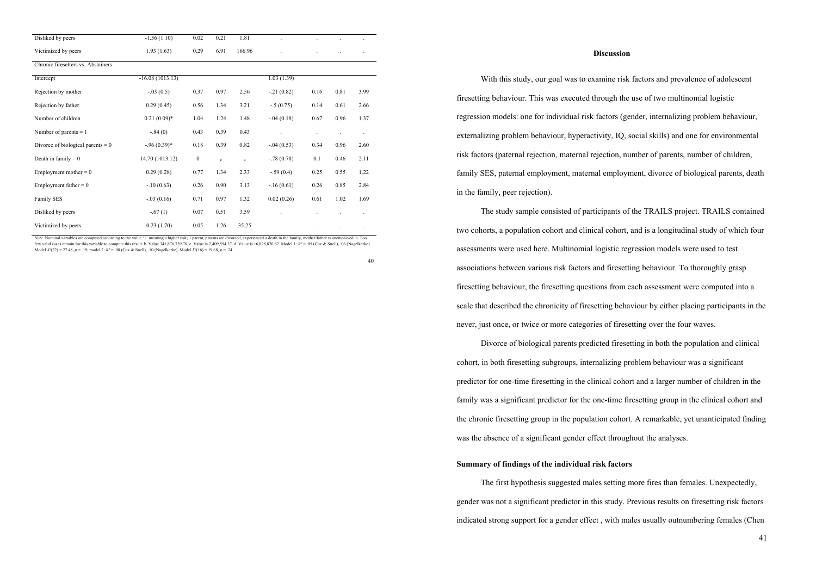| Disliked by peers                   | $-1.56(1.10)$     | 0.02             | 0.21         | 1.81     |               |      |      |         |
|-------------------------------------|-------------------|------------------|--------------|----------|---------------|------|------|---------|
| Victimized by peers                 | 1.93(1.63)        | 0.29             | 6.91         | 166.96   |               |      |      |         |
| Chronic firesetters vs. Abstainers  |                   |                  |              |          |               |      |      |         |
| Intercept                           | $-16.08(1013.13)$ |                  |              |          | 1.03(1.39)    |      |      |         |
| Rejection by mother                 | $-.03(0.5)$       | 0.37             | 0.97         | 2.56     | $-21(0.82)$   | 0.16 | 0.81 | 3.99    |
| Rejection by father                 | 0.29(0.45)        | 0.56             | 1.34         | 3.21     | $-.5(0.75)$   | 0.14 | 0.61 | 2.66    |
| Number of children                  | $0.21(0.09)*$     | 1.04             | 1.24         | 1.48     | $-0.04(0.18)$ | 0.67 | 0.96 | 1.37    |
| Number of parents $= 1$             | $-.84(0)$         | 0.43             | 0.39         | 0.43     |               |      |      | $\cdot$ |
| Divorce of biological parents $= 0$ | $-0.96(0.39)$ *   | 0.18             | 0.39         | 0.82     | $-0.04(0.53)$ | 0.34 | 0.96 | 2.60    |
| Death in family $= 0$               | 14.70 (1013.12)   | $\boldsymbol{0}$ | $\mathbf{c}$ | $\rm{a}$ | $-78(0.78)$   | 0.1  | 0.46 | 2.11    |
| Employment mother $= 0$             | 0.29(0.28)        | 0.77             | 1.34         | 2.33     | $-.59(0.4)$   | 0.25 | 0.55 | 1.22    |
| Employment father = $0$             | $-10(0.63)$       | 0.26             | 0.90         | 3.13     | $-16(0.61)$   | 0.26 | 0.85 | 2.84    |
| Family SES                          | $-.03(0.16)$      | 0.71             | 0.97         | 1.32     | 0.02(0.26)    | 0.61 | 1.02 | 1.69    |
| Disliked by peers                   | $-.67(1)$         | 0.07             | 0.51         | 3.59     |               |      |      |         |
| Victimized by peers                 | 0.23(1.70)        | 0.05             | 1.26         | 35.25    |               |      |      |         |

*Note.* Nominal variables are computed according to the value '1' meaning a higher risk; 1 parent, parents are divorced, experienced a death in the family, mother/father is unemployed. a. Too few valid cases remain for this variable to compute this result. b. Value 341,876,739.70. c. Value is 2,409,594.37. d. Value is 16,828,876.62. Model 1: *R²* = .05 (Cox & Snell), .06 (Nagelkerke). Model *X²*(22) = 27.48, *p* = .19; model 2: *R²* = .08 (Cox & Snell), .10 (Nagelkerke). Model *X²*(16) = 19.68, *p* = .24.

40

#### **Discussion**

With this study, our goal was to examine risk factors and prevalence of adolescent firesetting behaviour. This was executed through the use of two multinomial logistic regression models: one for individual risk factors (gender, internalizing problem behaviour, externalizing problem behaviour, hyperactivity, IQ, social skills) and one for environmental risk factors (paternal rejection, maternal rejection, number of parents, number of children, family SES, paternal employment, maternal employment, divorce of biological parents, death in the family, peer rejection).

 The study sample consisted of participants of the TRAILS project. TRAILS contained two cohorts, a population cohort and clinical cohort, and is a longitudinal study of which four assessments were used here. Multinomial logistic regression models were used to test associations between various risk factors and firesetting behaviour. To thoroughly grasp firesetting behaviour, the firesetting questions from each assessment were computed into a scale that described the chronicity of firesetting behaviour by either placing participants in the never, just once, or twice or more categories of firesetting over the four waves.

 Divorce of biological parents predicted firesetting in both the population and clinical cohort, in both firesetting subgroups, internalizing problem behaviour was a significant predictor for one-time firesetting in the clinical cohort and a larger number of children in the family was a significant predictor for the one-time firesetting group in the clinical cohort and the chronic firesetting group in the population cohort. A remarkable, yet unanticipated finding was the absence of a significant gender effect throughout the analyses.

# **Summary of findings of the individual risk factors**

The first hypothesis suggested males setting more fires than females. Unexpectedly, gender was not a significant predictor in this study. Previous results on firesetting risk factors indicated strong support for a gender effect , with males usually outnumbering females (Chen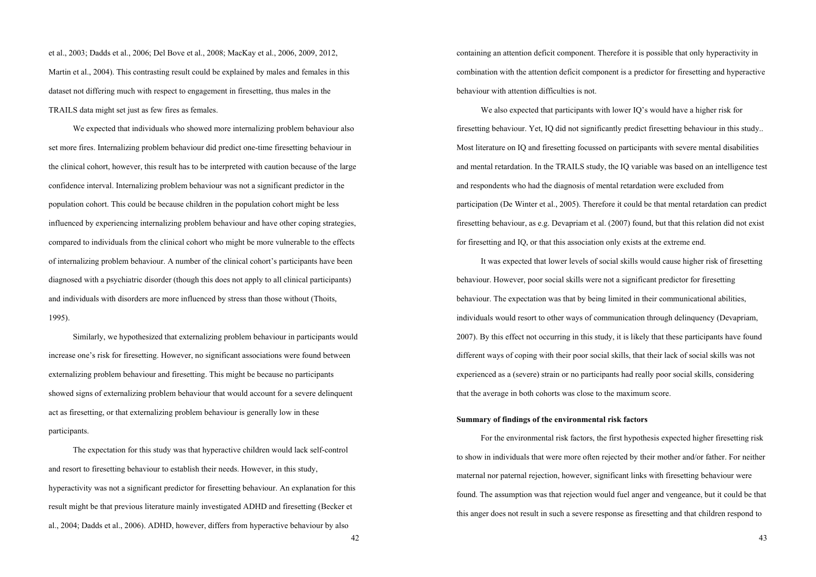et al., 2003; Dadds et al., 2006; Del Bove et al., 2008; MacKay et al., 2006, 2009, 2012, Martin et al., 2004). This contrasting result could be explained by males and females in this dataset not differing much with respect to engagement in firesetting, thus males in the TRAILS data might set just as few fires as females.

 We expected that individuals who showed more internalizing problem behaviour also set more fires. Internalizing problem behaviour did predict one-time firesetting behaviour in the clinical cohort, however, this result has to be interpreted with caution because of the large confidence interval. Internalizing problem behaviour was not a significant predictor in the population cohort. This could be because children in the population cohort might be less influenced by experiencing internalizing problem behaviour and have other coping strategies, compared to individuals from the clinical cohort who might be more vulnerable to the effects of internalizing problem behaviour. A number of the clinical cohort's participants have been diagnosed with a psychiatric disorder (though this does not apply to all clinical participants) and individuals with disorders are more influenced by stress than those without (Thoits, 1995).

 Similarly, we hypothesized that externalizing problem behaviour in participants would increase one's risk for firesetting. However, no significant associations were found between externalizing problem behaviour and firesetting. This might be because no participants showed signs of externalizing problem behaviour that would account for a severe delinquent act as firesetting, or that externalizing problem behaviour is generally low in these participants.

 The expectation for this study was that hyperactive children would lack self-control and resort to firesetting behaviour to establish their needs. However, in this study, hyperactivity was not a significant predictor for firesetting behaviour. An explanation for this result might be that previous literature mainly investigated ADHD and firesetting (Becker et al., 2004; Dadds et al., 2006). ADHD, however, differs from hyperactive behaviour by also

containing an attention deficit component. Therefore it is possible that only hyperactivity in combination with the attention deficit component is a predictor for firesetting and hyperactive behaviour with attention difficulties is not.

 We also expected that participants with lower IQ's would have a higher risk for firesetting behaviour. Yet, IQ did not significantly predict firesetting behaviour in this study.. Most literature on IQ and firesetting focussed on participants with severe mental disabilities and mental retardation. In the TRAILS study, the IQ variable was based on an intelligence test and respondents who had the diagnosis of mental retardation were excluded from participation (De Winter et al., 2005). Therefore it could be that mental retardation can predict firesetting behaviour, as e.g. Devapriam et al. (2007) found, but that this relation did not exist for firesetting and IQ, or that this association only exists at the extreme end.

 It was expected that lower levels of social skills would cause higher risk of firesetting behaviour. However, poor social skills were not a significant predictor for firesetting behaviour. The expectation was that by being limited in their communicational abilities, individuals would resort to other ways of communication through delinquency (Devapriam, 2007). By this effect not occurring in this study, it is likely that these participants have found different ways of coping with their poor social skills, that their lack of social skills was not experienced as a (severe) strain or no participants had really poor social skills, considering that the average in both cohorts was close to the maximum score.

#### **Summary of findings of the environmental risk factors**

For the environmental risk factors, the first hypothesis expected higher firesetting risk to show in individuals that were more often rejected by their mother and/or father. For neither maternal nor paternal rejection, however, significant links with firesetting behaviour were found. The assumption was that rejection would fuel anger and vengeance, but it could be that this anger does not result in such a severe response as firesetting and that children respond to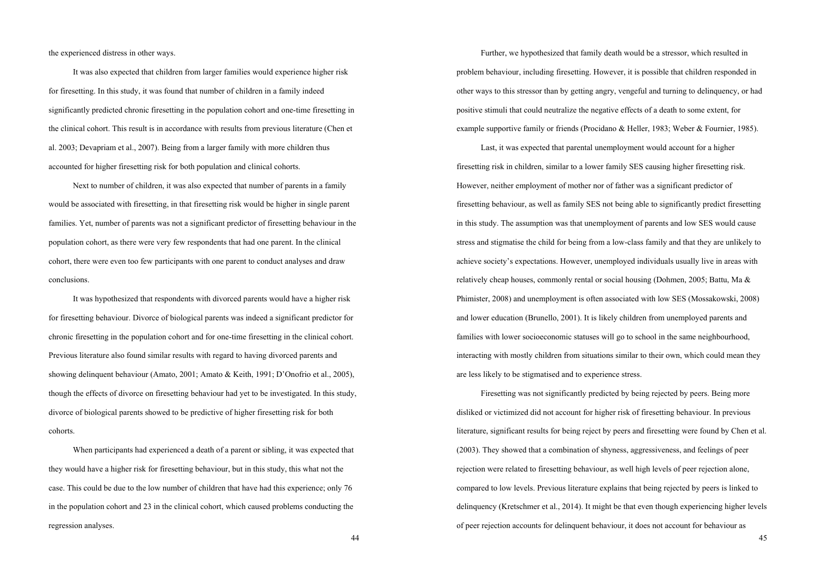the experienced distress in other ways.

 It was also expected that children from larger families would experience higher risk for firesetting. In this study, it was found that number of children in a family indeed significantly predicted chronic firesetting in the population cohort and one-time firesetting in the clinical cohort. This result is in accordance with results from previous literature (Chen et al. 2003; Devapriam et al., 2007). Being from a larger family with more children thus accounted for higher firesetting risk for both population and clinical cohorts.

 Next to number of children, it was also expected that number of parents in a family would be associated with firesetting, in that firesetting risk would be higher in single parent families. Yet, number of parents was not a significant predictor of firesetting behaviour in the population cohort, as there were very few respondents that had one parent. In the clinical cohort, there were even too few participants with one parent to conduct analyses and draw conclusions.

 It was hypothesized that respondents with divorced parents would have a higher risk for firesetting behaviour. Divorce of biological parents was indeed a significant predictor for chronic firesetting in the population cohort and for one-time firesetting in the clinical cohort. Previous literature also found similar results with regard to having divorced parents and showing delinquent behaviour (Amato, 2001; Amato & Keith, 1991; D'Onofrio et al., 2005), though the effects of divorce on firesetting behaviour had yet to be investigated. In this study, divorce of biological parents showed to be predictive of higher firesetting risk for both cohorts.

 When participants had experienced a death of a parent or sibling, it was expected that they would have a higher risk for firesetting behaviour, but in this study, this what not the case. This could be due to the low number of children that have had this experience; only 76 in the population cohort and 23 in the clinical cohort, which caused problems conducting the regression analyses.

Further, we hypothesized that family death would be a stressor, which resulted in problem behaviour, including firesetting. However, it is possible that children responded in other ways to this stressor than by getting angry, vengeful and turning to delinquency, or had positive stimuli that could neutralize the negative effects of a death to some extent, for example supportive family or friends (Procidano & Heller, 1983; Weber & Fournier, 1985).

 Last, it was expected that parental unemployment would account for a higher firesetting risk in children, similar to a lower family SES causing higher firesetting risk. However, neither employment of mother nor of father was a significant predictor of firesetting behaviour, as well as family SES not being able to significantly predict firesetting in this study. The assumption was that unemployment of parents and low SES would cause stress and stigmatise the child for being from a low-class family and that they are unlikely to achieve society's expectations. However, unemployed individuals usually live in areas with relatively cheap houses, commonly rental or social housing (Dohmen, 2005; Battu, Ma & Phimister, 2008) and unemployment is often associated with low SES (Mossakowski, 2008) and lower education (Brunello, 2001). It is likely children from unemployed parents and families with lower socioeconomic statuses will go to school in the same neighbourhood, interacting with mostly children from situations similar to their own, which could mean they are less likely to be stigmatised and to experience stress.

Firesetting was not significantly predicted by being rejected by peers. Being more disliked or victimized did not account for higher risk of firesetting behaviour. In previous literature, significant results for being reject by peers and firesetting were found by Chen et al. (2003). They showed that a combination of shyness, aggressiveness, and feelings of peer rejection were related to firesetting behaviour, as well high levels of peer rejection alone, compared to low levels. Previous literature explains that being rejected by peers is linked to delinquency (Kretschmer et al., 2014). It might be that even though experiencing higher levels of peer rejection accounts for delinquent behaviour, it does not account for behaviour as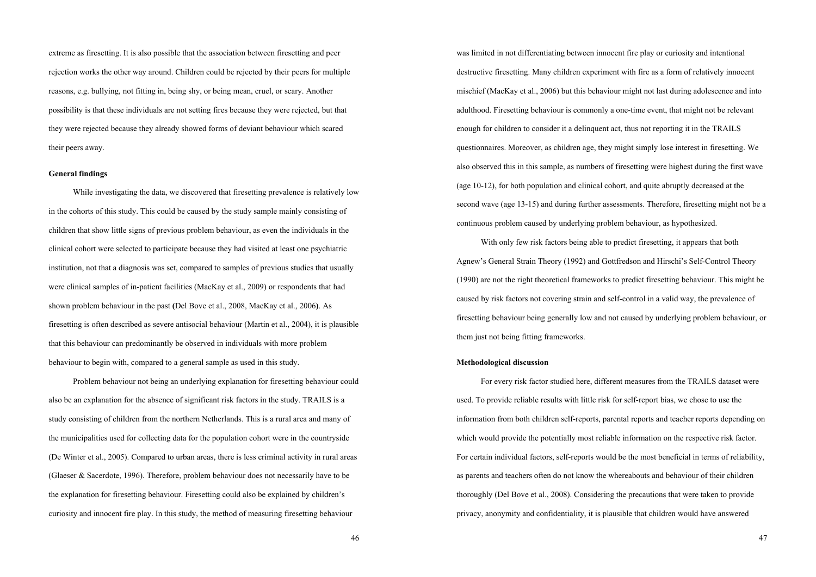extreme as firesetting. It is also possible that the association between firesetting and peer rejection works the other way around. Children could be rejected by their peers for multiple reasons, e.g. bullying, not fitting in, being shy, or being mean, cruel, or scary. Another possibility is that these individuals are not setting fires because they were rejected, but that they were rejected because they already showed forms of deviant behaviour which scared their peers away.

# **General findings**

While investigating the data, we discovered that firesetting prevalence is relatively low in the cohorts of this study. This could be caused by the study sample mainly consisting of children that show little signs of previous problem behaviour, as even the individuals in the clinical cohort were selected to participate because they had visited at least one psychiatric institution, not that a diagnosis was set, compared to samples of previous studies that usually were clinical samples of in-patient facilities (MacKay et al., 2009) or respondents that had shown problem behaviour in the past **(**Del Bove et al., 2008, MacKay et al., 2006**)**. As firesetting is often described as severe antisocial behaviour (Martin et al., 2004), it is plausible that this behaviour can predominantly be observed in individuals with more problem behaviour to begin with, compared to a general sample as used in this study.

Problem behaviour not being an underlying explanation for firesetting behaviour could also be an explanation for the absence of significant risk factors in the study. TRAILS is a study consisting of children from the northern Netherlands. This is a rural area and many of the municipalities used for collecting data for the population cohort were in the countryside (De Winter et al., 2005). Compared to urban areas, there is less criminal activity in rural areas (Glaeser & Sacerdote, 1996). Therefore, problem behaviour does not necessarily have to be the explanation for firesetting behaviour. Firesetting could also be explained by children's curiosity and innocent fire play. In this study, the method of measuring firesetting behaviour

was limited in not differentiating between innocent fire play or curiosity and intentional destructive firesetting. Many children experiment with fire as a form of relatively innocent mischief (MacKay et al., 2006) but this behaviour might not last during adolescence and into adulthood. Firesetting behaviour is commonly a one-time event, that might not be relevant enough for children to consider it a delinquent act, thus not reporting it in the TRAILS questionnaires. Moreover, as children age, they might simply lose interest in firesetting. We also observed this in this sample, as numbers of firesetting were highest during the first wave (age 10-12), for both population and clinical cohort, and quite abruptly decreased at the second wave (age 13-15) and during further assessments. Therefore, firesetting might not be a continuous problem caused by underlying problem behaviour, as hypothesized.

 With only few risk factors being able to predict firesetting, it appears that both Agnew's General Strain Theory (1992) and Gottfredson and Hirschi's Self-Control Theory (1990) are not the right theoretical frameworks to predict firesetting behaviour. This might be caused by risk factors not covering strain and self-control in a valid way, the prevalence of firesetting behaviour being generally low and not caused by underlying problem behaviour, or them just not being fitting frameworks.

# **Methodological discussion**

For every risk factor studied here, different measures from the TRAILS dataset were used. To provide reliable results with little risk for self-report bias, we chose to use the information from both children self-reports, parental reports and teacher reports depending on which would provide the potentially most reliable information on the respective risk factor. For certain individual factors, self-reports would be the most beneficial in terms of reliability, as parents and teachers often do not know the whereabouts and behaviour of their children thoroughly (Del Bove et al., 2008). Considering the precautions that were taken to provide privacy, anonymity and confidentiality, it is plausible that children would have answered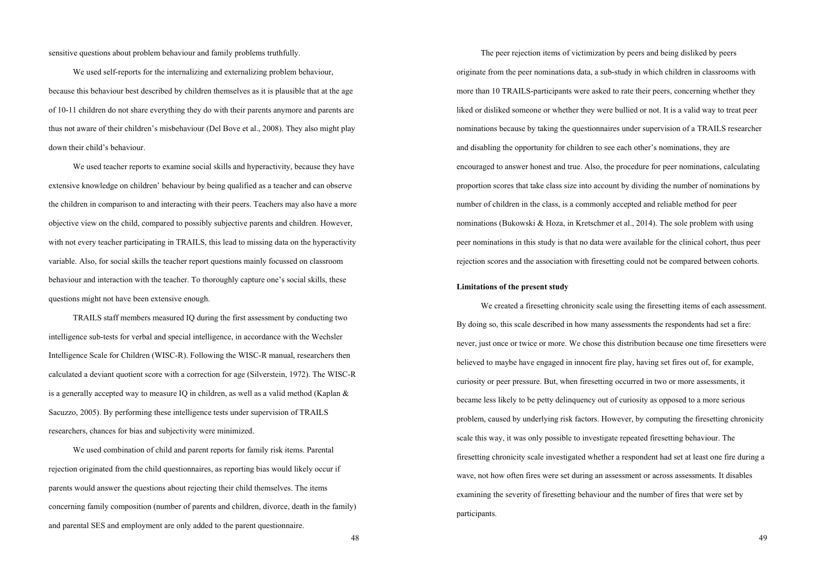sensitive questions about problem behaviour and family problems truthfully.

 We used self-reports for the internalizing and externalizing problem behaviour, because this behaviour best described by children themselves as it is plausible that at the age of 10-11 children do not share everything they do with their parents anymore and parents are thus not aware of their children's misbehaviour (Del Bove et al., 2008). They also might play down their child's behaviour.

 We used teacher reports to examine social skills and hyperactivity, because they have extensive knowledge on children' behaviour by being qualified as a teacher and can observe the children in comparison to and interacting with their peers. Teachers may also have a more objective view on the child, compared to possibly subjective parents and children. However, with not every teacher participating in TRAILS, this lead to missing data on the hyperactivity variable. Also, for social skills the teacher report questions mainly focussed on classroom behaviour and interaction with the teacher. To thoroughly capture one's social skills, these questions might not have been extensive enough.

 TRAILS staff members measured IQ during the first assessment by conducting two intelligence sub-tests for verbal and special intelligence, in accordance with the Wechsler Intelligence Scale for Children (WISC-R). Following the WISC-R manual, researchers then calculated a deviant quotient score with a correction for age (Silverstein, 1972). The WISC-R is a generally accepted way to measure IQ in children, as well as a valid method (Kaplan  $\&$ Sacuzzo, 2005). By performing these intelligence tests under supervision of TRAILS researchers, chances for bias and subjectivity were minimized.

 We used combination of child and parent reports for family risk items. Parental rejection originated from the child questionnaires, as reporting bias would likely occur if parents would answer the questions about rejecting their child themselves. The items concerning family composition (number of parents and children, divorce, death in the family) and parental SES and employment are only added to the parent questionnaire.

 The peer rejection items of victimization by peers and being disliked by peers originate from the peer nominations data, a sub-study in which children in classrooms with more than 10 TRAILS-participants were asked to rate their peers, concerning whether they liked or disliked someone or whether they were bullied or not. It is a valid way to treat peer nominations because by taking the questionnaires under supervision of a TRAILS researcher and disabling the opportunity for children to see each other's nominations, they are encouraged to answer honest and true. Also, the procedure for peer nominations, calculating proportion scores that take class size into account by dividing the number of nominations by number of children in the class, is a commonly accepted and reliable method for peer nominations (Bukowski & Hoza, in Kretschmer et al., 2014). The sole problem with using peer nominations in this study is that no data were available for the clinical cohort, thus peer rejection scores and the association with firesetting could not be compared between cohorts.

# **Limitations of the present study**

 We created a firesetting chronicity scale using the firesetting items of each assessment. By doing so, this scale described in how many assessments the respondents had set a fire: never, just once or twice or more. We chose this distribution because one time firesetters were believed to maybe have engaged in innocent fire play, having set fires out of, for example, curiosity or peer pressure. But, when firesetting occurred in two or more assessments, it became less likely to be petty delinquency out of curiosity as opposed to a more serious problem, caused by underlying risk factors. However, by computing the firesetting chronicity scale this way, it was only possible to investigate repeated firesetting behaviour. The firesetting chronicity scale investigated whether a respondent had set at least one fire during a wave, not how often fires were set during an assessment or across assessments. It disables examining the severity of firesetting behaviour and the number of fires that were set by participants.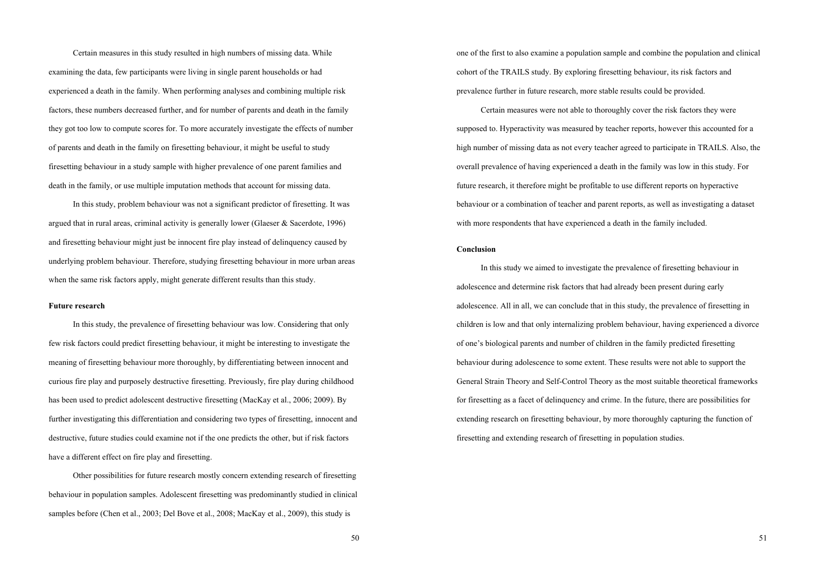Certain measures in this study resulted in high numbers of missing data. While examining the data, few participants were living in single parent households or had experienced a death in the family. When performing analyses and combining multiple risk factors, these numbers decreased further, and for number of parents and death in the family they got too low to compute scores for. To more accurately investigate the effects of number of parents and death in the family on firesetting behaviour, it might be useful to study firesetting behaviour in a study sample with higher prevalence of one parent families and death in the family, or use multiple imputation methods that account for missing data.

 In this study, problem behaviour was not a significant predictor of firesetting. It was argued that in rural areas, criminal activity is generally lower (Glaeser & Sacerdote, 1996) and firesetting behaviour might just be innocent fire play instead of delinquency caused by underlying problem behaviour. Therefore, studying firesetting behaviour in more urban areas when the same risk factors apply, might generate different results than this study.

# **Future research**

In this study, the prevalence of firesetting behaviour was low. Considering that only few risk factors could predict firesetting behaviour, it might be interesting to investigate the meaning of firesetting behaviour more thoroughly, by differentiating between innocent and curious fire play and purposely destructive firesetting. Previously, fire play during childhood has been used to predict adolescent destructive firesetting (MacKay et al., 2006; 2009). By further investigating this differentiation and considering two types of firesetting, innocent and destructive, future studies could examine not if the one predicts the other, but if risk factors have a different effect on fire play and firesetting.

 Other possibilities for future research mostly concern extending research of firesetting behaviour in population samples. Adolescent firesetting was predominantly studied in clinical samples before (Chen et al., 2003; Del Bove et al., 2008; MacKay et al., 2009), this study is

one of the first to also examine a population sample and combine the population and clinical cohort of the TRAILS study. By exploring firesetting behaviour, its risk factors and prevalence further in future research, more stable results could be provided.

 Certain measures were not able to thoroughly cover the risk factors they were supposed to. Hyperactivity was measured by teacher reports, however this accounted for a high number of missing data as not every teacher agreed to participate in TRAILS. Also, the overall prevalence of having experienced a death in the family was low in this study. For future research, it therefore might be profitable to use different reports on hyperactive behaviour or a combination of teacher and parent reports, as well as investigating a dataset with more respondents that have experienced a death in the family included.

#### **Conclusion**

In this study we aimed to investigate the prevalence of firesetting behaviour in adolescence and determine risk factors that had already been present during early adolescence. All in all, we can conclude that in this study, the prevalence of firesetting in children is low and that only internalizing problem behaviour, having experienced a divorce of one's biological parents and number of children in the family predicted firesetting behaviour during adolescence to some extent. These results were not able to support the General Strain Theory and Self-Control Theory as the most suitable theoretical frameworks for firesetting as a facet of delinquency and crime. In the future, there are possibilities for extending research on firesetting behaviour, by more thoroughly capturing the function of firesetting and extending research of firesetting in population studies.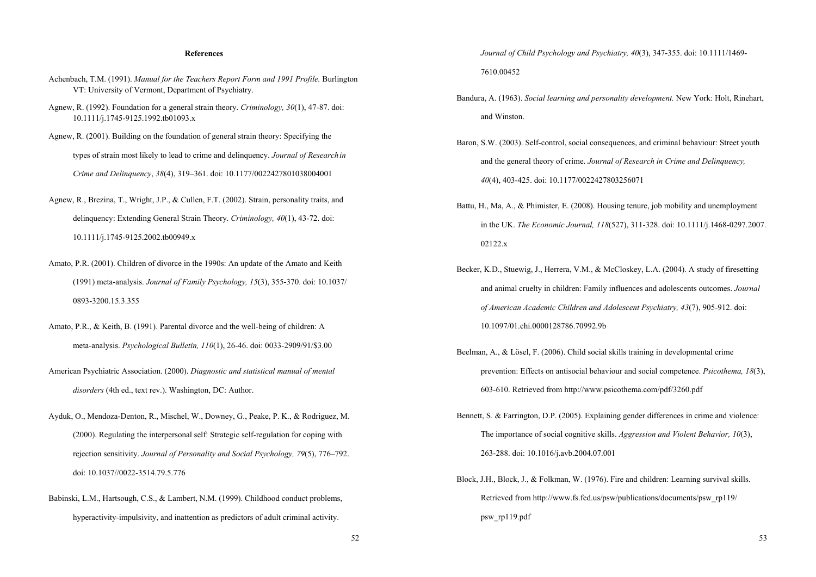# **References**

- Achenbach, T.M. (1991). *Manual for the Teachers Report Form and 1991 Profile.* Burlington VT: University of Vermont, Department of Psychiatry.
- Agnew, R. (1992). Foundation for a general strain theory. *Criminology, 30*(1), 47-87. doi: 10.1111/j.1745-9125.1992.tb01093.x
- Agnew, R. (2001). Building on the foundation of general strain theory: Specifying the types of strain most likely to lead to crime and delinquency. *Journal of Research in Crime and Delinquency*, *38*(4), 319–361. doi: 10.1177/0022427801038004001
- Agnew, R., Brezina, T., Wright, J.P., & Cullen, F.T. (2002). Strain, personality traits, and delinquency: Extending General Strain Theory. *Criminology, 40*(1), 43-72. doi: 10.1111/j.1745-9125.2002.tb00949.x
- Amato, P.R. (2001). Children of divorce in the 1990s: An update of the Amato and Keith (1991) meta-analysis. *Journal of Family Psychology, 15*(3), 355-370. doi: 10.1037/ 0893-3200.15.3.355
- Amato, P.R., & Keith, B. (1991). Parental divorce and the well-being of children: A meta-analysis. *Psychological Bulletin, 110*(1), 26-46. doi: 0033-2909/91/\$3.00
- American Psychiatric Association. (2000). *Diagnostic and statistical manual of mental disorders* (4th ed., text rev.). Washington, DC: Author.
- Ayduk, O., Mendoza-Denton, R., Mischel, W., Downey, G., Peake, P. K., & Rodriguez, M. (2000). Regulating the interpersonal self: Strategic self-regulation for coping with rejection sensitivity. *Journal of Personality and Social Psychology, 79*(5), 776–792. doi: 10.1037//0022-3514.79.5.776
- Babinski, L.M., Hartsough, C.S., & Lambert, N.M. (1999). Childhood conduct problems, hyperactivity-impulsivity, and inattention as predictors of adult criminal activity.

 *Journal of Child Psychology and Psychiatry, 40*(3), 347-355. doi: 10.1111/1469- 7610.00452

- Bandura, A. (1963). *Social learning and personality development.* New York: Holt, Rinehart, and Winston.
- Baron, S.W. (2003). Self-control, social consequences, and criminal behaviour: Street youth and the general theory of crime. *Journal of Research in Crime and Delinquency, 40*(4), 403-425. doi: 10.1177/0022427803256071
- Battu, H., Ma, A., & Phimister, E. (2008). Housing tenure, job mobility and unemployment in the UK. *The Economic Journal, 118*(527), 311-328. doi: 10.1111/j.1468-0297.2007. 02122 x
- Becker, K.D., Stuewig, J., Herrera, V.M., & McCloskey, L.A. (2004). A study of firesetting and animal cruelty in children: Family influences and adolescents outcomes. *Journal of American Academic Children and Adolescent Psychiatry, 43*(7), 905-912. doi: 10.1097/01.chi.0000128786.70992.9b
- Beelman, A., & Lösel, F. (2006). Child social skills training in developmental crime prevention: Effects on antisocial behaviour and social competence. *Psicothema, 18*(3), 603-610. Retrieved from http://www.psicothema.com/pdf/3260.pdf
- Bennett, S. & Farrington, D.P. (2005). Explaining gender differences in crime and violence: The importance of social cognitive skills. *Aggression and Violent Behavior, 10*(3), 263-288. doi: 10.1016/j.avb.2004.07.001
- Block, J.H., Block, J., & Folkman, W. (1976). Fire and children: Learning survival skills. Retrieved from http://www.fs.fed.us/psw/publications/documents/psw\_rp119/ psw\_rp119.pdf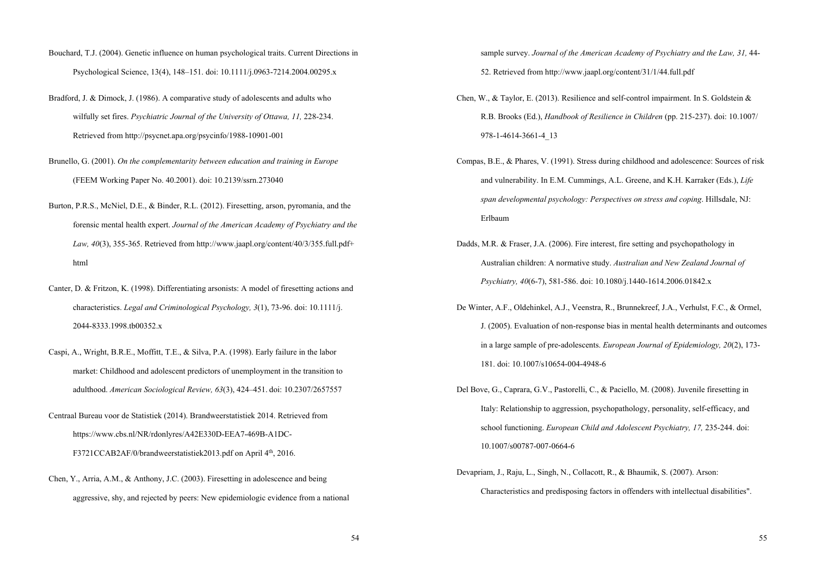- Bouchard, T.J. (2004). Genetic influence on human psychological traits. Current Directions in Psychological Science, 13(4), 148–151. doi: 10.1111/j.0963-7214.2004.00295.x
- Bradford, J. & Dimock, J. (1986). A comparative study of adolescents and adults who wilfully set fires. *Psychiatric Journal of the University of Ottawa, 11,* 228-234. Retrieved from http://psycnet.apa.org/psycinfo/1988-10901-001
- Brunello, G. (2001). *On the complementarity between education and training in Europe* (FEEM Working Paper No. 40.2001). doi: 10.2139/ssrn.273040
- Burton, P.R.S., McNiel, D.E., & Binder, R.L. (2012). Firesetting, arson, pyromania, and the forensic mental health expert. *Journal of the American Academy of Psychiatry and the Law, 40*(3), 355-365. Retrieved from http://www.jaapl.org/content/40/3/355.full.pdf+ html
- Canter, D. & Fritzon, K. (1998). Differentiating arsonists: A model of firesetting actions and characteristics. *Legal and Criminological Psychology, 3*(1), 73-96. doi: 10.1111/j. 2044-8333.1998.tb00352.x
- Caspi, A., Wright, B.R.E., Moffitt, T.E., & Silva, P.A. (1998). Early failure in the labor market: Childhood and adolescent predictors of unemployment in the transition to adulthood. *American Sociological Review, 63*(3), 424–451. doi: 10.2307/2657557
- Centraal Bureau voor de Statistiek (2014). Brandweerstatistiek 2014. Retrieved from https://www.cbs.nl/NR/rdonlyres/A42E330D-EEA7-469B-A1DC-

F3721CCAB2AF/0/brandweerstatistiek2013.pdf on April 4<sup>th</sup>, 2016.

Chen, Y., Arria, A.M., & Anthony, J.C. (2003). Firesetting in adolescence and being aggressive, shy, and rejected by peers: New epidemiologic evidence from a national sample survey. *Journal of the American Academy of Psychiatry and the Law, 31, 44-*52. Retrieved from http://www.jaapl.org/content/31/1/44.full.pdf

- Chen, W., & Taylor, E. (2013). Resilience and self-control impairment. In S. Goldstein & R.B. Brooks (Ed.), *Handbook of Resilience in Children* (pp. 215-237). doi: 10.1007/ 978-1-4614-3661-4\_13
- Compas, B.E., & Phares, V. (1991). Stress during childhood and adolescence: Sources of risk and vulnerability. In E.M. Cummings, A.L. Greene, and K.H. Karraker (Eds.), *Life span developmental psychology: Perspectives on stress and coping*. Hillsdale, NJ: Erlbaum
- Dadds, M.R. & Fraser, J.A. (2006). Fire interest, fire setting and psychopathology in Australian children: A normative study. *Australian and New Zealand Journal of Psychiatry, 40*(6-7), 581-586. doi: 10.1080/j.1440-1614.2006.01842.x
- De Winter, A.F., Oldehinkel, A.J., Veenstra, R., Brunnekreef, J.A., Verhulst, F.C., & Ormel, J. (2005). Evaluation of non-response bias in mental health determinants and outcomes in a large sample of pre-adolescents. *European Journal of Epidemiology, 20*(2), 173- 181. doi: 10.1007/s10654-004-4948-6
- Del Bove, G., Caprara, G.V., Pastorelli, C., & Paciello, M. (2008). Juvenile firesetting in Italy: Relationship to aggression, psychopathology, personality, self-efficacy, and school functioning. *European Child and Adolescent Psychiatry, 17, 235-244.* doi: 10.1007/s00787-007-0664-6
- Devapriam, J., Raju, L., Singh, N., Collacott, R., & Bhaumik, S. (2007). Arson: Characteristics and predisposing factors in offenders with intellectual disabilities".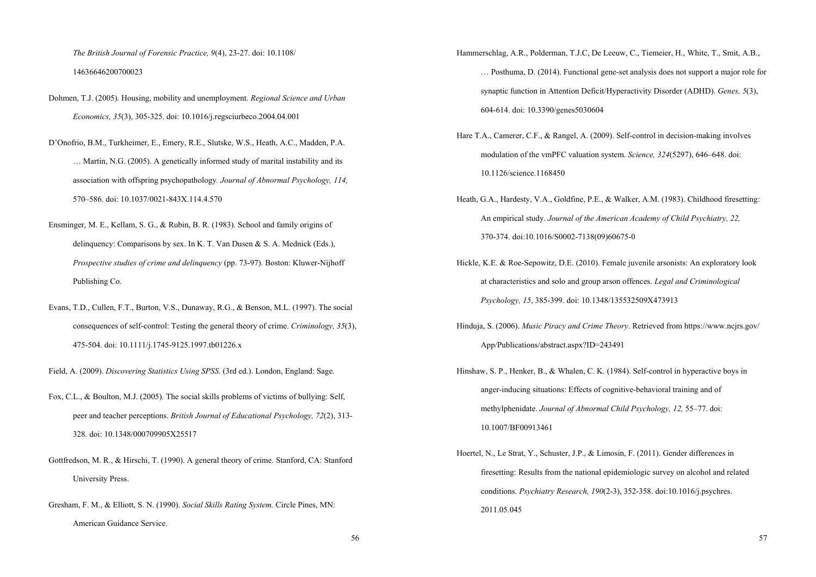*The British Journal of Forensic Practice, 9*(4), 23-27. doi: 10.1108/ 14636646200700023

Dohmen, T.J. (2005). Housing, mobility and unemployment. *Regional Science and Urban Economics, 35*(3), 305-325. doi: 10.1016/j.regsciurbeco.2004.04.001

D'Onofrio, B.M., Turkheimer, E., Emery, R.E., Slutske, W.S., Heath, A.C., Madden, P.A. … Martin, N.G. (2005). A genetically informed study of marital instability and its association with offspring psychopathology*. Journal of Abnormal Psychology, 114,* 570–586. doi: 10.1037/0021-843X.114.4.570

- Ensminger, M. E., Kellam, S. G., & Rubin, B. R. (1983). School and family origins of delinquency: Comparisons by sex. In K. T. Van Dusen & S. A. Mednick (Eds.), *Prospective studies of crime and delinquency* (pp. 73-97). Boston: Kluwer-Nijhoff Publishing Co.
- Evans, T.D., Cullen, F.T., Burton, V.S., Dunaway, R.G., & Benson, M.L. (1997). The social consequences of self-control: Testing the general theory of crime. *Criminology, 35*(3), 475-504. doi: 10.1111/j.1745-9125.1997.tb01226.x
- Field, A. (2009). *Discovering Statistics Using SPSS.* (3rd ed.). London, England: Sage.
- Fox, C.L., & Boulton, M.J. (2005). The social skills problems of victims of bullying: Self, peer and teacher perceptions. *British Journal of Educational Psychology, 72*(2), 313- 328. doi: 10.1348/000709905X25517
- Gottfredson, M. R., & Hirschi, T. (1990). A general theory of crime. Stanford, CA: Stanford University Press.
- Gresham, F. M., & Elliott, S. N. (1990). *Social Skills Rating System.* Circle Pines, MN: American Guidance Service.
- Hammerschlag, A.R., Polderman, T.J.C, De Leeuw, C., Tiemeier, H., White, T., Smit, A.B., … Posthuma, D. (2014). Functional gene-set analysis does not support a major role for synaptic function in Attention Deficit/Hyperactivity Disorder (ADHD). *Genes, 5*(3), 604-614. doi: 10.3390/genes5030604
- Hare T.A., Camerer, C.F., & Rangel, A. (2009). Self-control in decision-making involves modulation of the vmPFC valuation system. *Science, 324*(5297), 646–648. doi: 10.1126/science.1168450
- Heath, G.A., Hardesty, V.A., Goldfine, P.E., & Walker, A.M. (1983). Childhood firesetting: An empirical study. *Journal of the American Academy of Child Psychiatry, 22,*  370-374. doi:10.1016/S0002-7138(09)60675-0
- Hickle, K.E. & Roe-Sepowitz, D.E. (2010). Female juvenile arsonists: An exploratory look at characteristics and solo and group arson offences. *Legal and Criminological Psychology, 15*, 385-399. doi: 10.1348/135532509X473913
- Hinduja, S. (2006). *Music Piracy and Crime Theory*. Retrieved from https://www.ncjrs.gov/ App/Publications/abstract.aspx?ID=243491
- Hinshaw, S. P., Henker, B., & Whalen, C. K. (1984). Self-control in hyperactive boys in anger-inducing situations: Effects of cognitive-behavioral training and of methylphenidate. *Journal of Abnormal Child Psychology, 12,* 55–77. doi: 10.1007/BF00913461
- Hoertel, N., Le Strat, Y., Schuster, J.P., & Limosin, F. (2011). Gender differences in firesetting: Results from the national epidemiologic survey on alcohol and related conditions. *Psychiatry Research, 190*(2-3), 352-358. doi:10.1016/j.psychres. 2011.05.045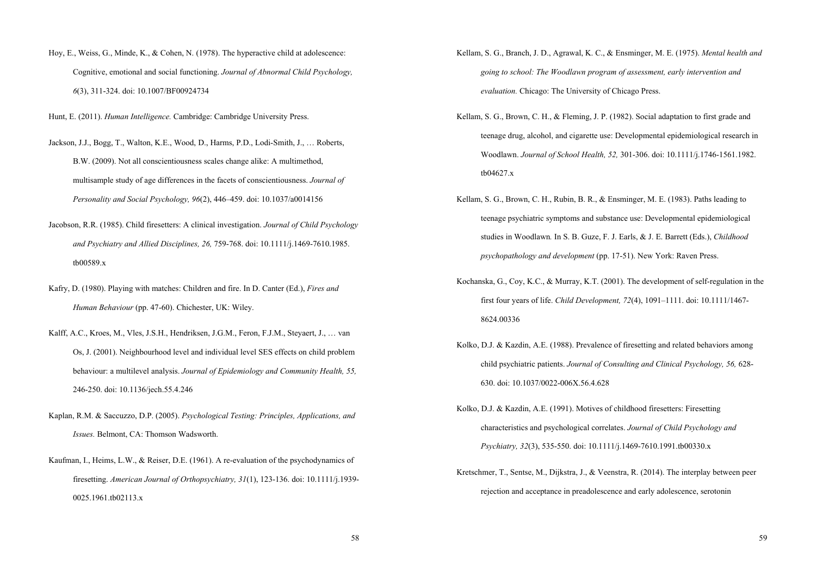- Hoy, E., Weiss, G., Minde, K., & Cohen, N. (1978). The hyperactive child at adolescence: Cognitive, emotional and social functioning. *Journal of Abnormal Child Psychology, 6*(3), 311-324. doi: 10.1007/BF00924734
- Hunt, E. (2011). *Human Intelligence.* Cambridge: Cambridge University Press.

Jackson, J.J., Bogg, T., Walton, K.E., Wood, D., Harms, P.D., Lodi-Smith, J., … Roberts, B.W. (2009). Not all conscientiousness scales change alike: A multimethod, multisample study of age differences in the facets of conscientiousness. *Journal of Personality and Social Psychology, 96*(2), 446–459. doi: 10.1037/a0014156

- Jacobson, R.R. (1985). Child firesetters: A clinical investigation. *Journal of Child Psychology and Psychiatry and Allied Disciplines, 26,* 759-768. doi: 10.1111/j.1469-7610.1985. tb00589.x
- Kafry, D. (1980). Playing with matches: Children and fire. In D. Canter (Ed.), *Fires and Human Behaviour* (pp. 47-60). Chichester, UK: Wiley.
- Kalff, A.C., Kroes, M., Vles, J.S.H., Hendriksen, J.G.M., Feron, F.J.M., Steyaert, J., … van Os, J. (2001). Neighbourhood level and individual level SES effects on child problem behaviour: a multilevel analysis. *Journal of Epidemiology and Community Health, 55,* 246-250. doi: 10.1136/jech.55.4.246
- Kaplan, R.M. & Saccuzzo, D.P. (2005). *Psychological Testing: Principles, Applications, and Issues.* Belmont, CA: Thomson Wadsworth.
- Kaufman, I., Heims, L.W., & Reiser, D.E. (1961). A re-evaluation of the psychodynamics of firesetting. *American Journal of Orthopsychiatry, 31*(1), 123-136. doi: 10.1111/j.1939- 0025.1961.tb02113.x
- Kellam, S. G., Branch, J. D., Agrawal, K. C., & Ensminger, M. E. (1975). *Mental health and going to school: The Woodlawn program of assessment, early intervention and evaluation.* Chicago: The University of Chicago Press.
- Kellam, S. G., Brown, C. H., & Fleming, J. P. (1982). Social adaptation to first grade and teenage drug, alcohol, and cigarette use: Developmental epidemiological research in Woodlawn. *Journal of School Health, 52,* 301-306. doi: 10.1111/j.1746-1561.1982. tb04627.x
- Kellam, S. G., Brown, C. H., Rubin, B. R., & Ensminger, M. E. (1983). Paths leading to teenage psychiatric symptoms and substance use: Developmental epidemiological studies in Woodlawn*.* In S. B. Guze, F. J. Earls, & J. E. Barrett (Eds.), *Childhood psychopathology and development* (pp. 17-51). New York: Raven Press.
- Kochanska, G., Coy, K.C., & Murray, K.T. (2001). The development of self-regulation in the first four years of life. *Child Development, 72*(4), 1091–1111. doi: 10.1111/1467- 8624.00336
- Kolko, D.J. & Kazdin, A.E. (1988). Prevalence of firesetting and related behaviors among child psychiatric patients. *Journal of Consulting and Clinical Psychology, 56,* 628- 630. doi: 10.1037/0022-006X.56.4.628
- Kolko, D.J. & Kazdin, A.E. (1991). Motives of childhood firesetters: Firesetting characteristics and psychological correlates. *Journal of Child Psychology and Psychiatry, 32*(3), 535-550. doi: 10.1111/j.1469-7610.1991.tb00330.x
- Kretschmer, T., Sentse, M., Dijkstra, J., & Veenstra, R. (2014). The interplay between peer rejection and acceptance in preadolescence and early adolescence, serotonin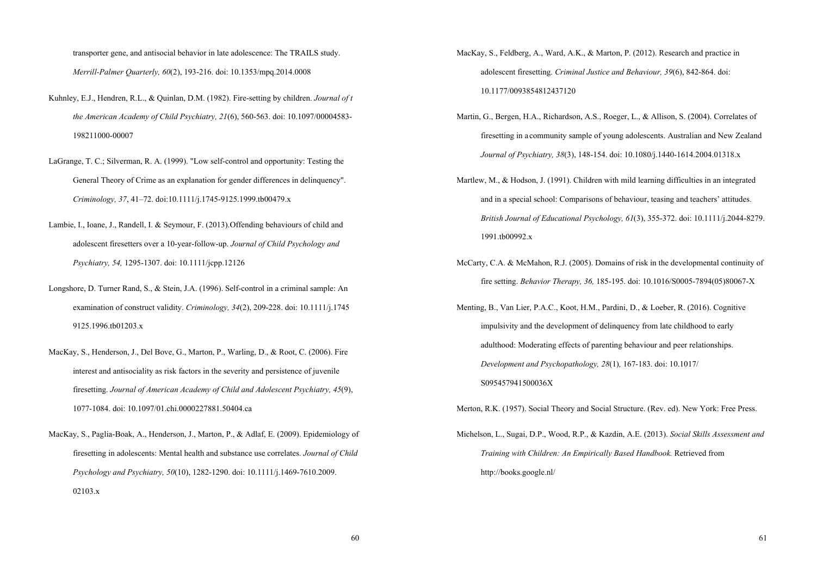transporter gene, and antisocial behavior in late adolescence: The TRAILS study. *Merrill-Palmer Quarterly, 60*(2), 193-216. doi: 10.1353/mpq.2014.0008

- Kuhnley, E.J., Hendren, R.L., & Quinlan, D.M. (1982). Fire-setting by children. *Journal of t the American Academy of Child Psychiatry, 21*(6), 560-563. doi: 10.1097/00004583- 198211000-00007
- LaGrange, T. C.; Silverman, R. A. (1999). "Low self-control and opportunity: Testing the General Theory of Crime as an explanation for gender differences in delinquency". *Criminology, 37*, 41–72. doi:10.1111/j.1745-9125.1999.tb00479.x
- Lambie, I., Ioane, J., Randell, I. & Seymour, F. (2013).Offending behaviours of child and adolescent firesetters over a 10-year-follow-up. *Journal of Child Psychology and Psychiatry, 54,* 1295-1307. doi: 10.1111/jcpp.12126
- Longshore, D. Turner Rand, S., & Stein, J.A. (1996). Self-control in a criminal sample: An examination of construct validity. *Criminology, 34*(2), 209-228. doi: 10.1111/j.1745 9125.1996.tb01203.x
- MacKay, S., Henderson, J., Del Bove, G., Marton, P., Warling, D., & Root, C. (2006). Fire interest and antisociality as risk factors in the severity and persistence of juvenile firesetting. *Journal of American Academy of Child and Adolescent Psychiatry, 45*(9), 1077-1084. doi: 10.1097/01.chi.0000227881.50404.ca
- MacKay, S., Paglia-Boak, A., Henderson, J., Marton, P., & Adlaf, E. (2009). Epidemiology of firesetting in adolescents: Mental health and substance use correlates. *Journal of Child Psychology and Psychiatry, 50*(10), 1282-1290. doi: 10.1111/j.1469-7610.2009.  $02103.x$
- MacKay, S., Feldberg, A., Ward, A.K., & Marton, P. (2012). Research and practice in adolescent firesetting. *Criminal Justice and Behaviour, 39*(6), 842-864. doi: 10.1177/0093854812437120
- Martin, G., Bergen, H.A., Richardson, A.S., Roeger, L., & Allison, S. (2004). Correlates of firesetting in a community sample of young adolescents. Australian and New Zealand *Journal of Psychiatry, 38*(3), 148-154. doi: 10.1080/j.1440-1614.2004.01318.x
- Martlew, M., & Hodson, J. (1991). Children with mild learning difficulties in an integrated and in a special school: Comparisons of behaviour, teasing and teachers' attitudes.  *British Journal of Educational Psychology, 61*(3), 355-372. doi: 10.1111/j.2044-8279. 1991.tb00992.x
- McCarty, C.A. & McMahon, R.J. (2005). Domains of risk in the developmental continuity of fire setting. *Behavior Therapy, 36,* 185-195. doi: 10.1016/S0005-7894(05)80067-X
- Menting, B., Van Lier, P.A.C., Koot, H.M., Pardini, D., & Loeber, R. (2016). Cognitive impulsivity and the development of delinquency from late childhood to early adulthood: Moderating effects of parenting behaviour and peer relationships. *Development and Psychopathology, 28*(1)*,* 167-183. doi: 10.1017/ S095457941500036X

Merton, R.K. (1957). Social Theory and Social Structure. (Rev. ed). New York: Free Press.

Michelson, L., Sugai, D.P., Wood, R.P., & Kazdin, A.E. (2013). *Social Skills Assessment and Training with Children: An Empirically Based Handbook.* Retrieved from http://books.google.nl/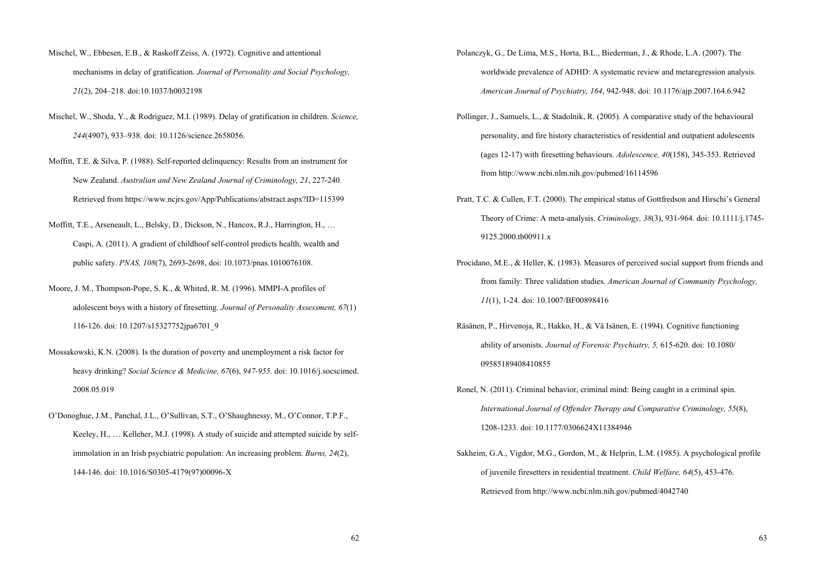- Mischel, W., Ebbesen, E.B., & Raskoff Zeiss, A. (1972). Cognitive and attentional mechanisms in delay of gratification. *Journal of Personality and Social Psychology, 21*(2), 204–218. doi:10.1037/h0032198
- Mischel, W., Shoda, Y., & Rodriguez, M.I. (1989). Delay of gratification in children. *Science, 244*(4907), 933–938. doi: 10.1126/science.2658056.
- Moffitt, T.E. & Silva, P. (1988). Self-reported delinquency: Results from an instrument for New Zealand. *Australian and New Zealand Journal of Criminology, 21*, 227-240. Retrieved from https://www.ncjrs.gov/App/Publications/abstract.aspx?ID=115399
- Moffitt, T.E., Arseneault, L., Belsky, D., Dickson, N., Hancox, R.J., Harrington, H., … Caspi, A. (2011). A gradient of childhoof self-control predicts health, wealth and public safety. *PNAS, 108*(7), 2693-2698, doi: 10.1073/pnas.1010076108.
- Moore, J. M., Thompson-Pope, S. K., & Whited, R. M. (1996). MMPI-A profiles of adolescent boys with a history of firesetting. *Journal of Personality Assessment, 67*(1) 116-126. doi: 10.1207/s15327752jpa6701\_9
- Mossakowski, K.N. (2008). Is the duration of poverty and unemployment a risk factor for heavy drinking? *Social Science & Medicine, 67*(6), *947-955.* doi: 10.1016/j.socscimed. 2008.05.019
- O'Donoghue, J.M., Panchal, J.L., O'Sullivan, S.T., O'Shaughnessy, M., O'Connor, T.P.F., Keeley, H., … Kelleher, M.J. (1998). A study of suicide and attempted suicide by self immolation in an Irish psychiatric population: An increasing problem. *Burns, 24*(2), 144-146. doi: 10.1016/S0305-4179(97)00096-X
- Polanczyk, G., De Lima, M.S., Horta, B.L., Biederman, J., & Rhode, L.A. (2007). The worldwide prevalence of ADHD: A systematic review and metaregression analysis. *American Journal of Psychiatry, 164*, 942-948. doi: 10.1176/ajp.2007.164.6.942
- Pollinger, J., Samuels, L., & Stadolnik, R. (2005). A comparative study of the behavioural personality, and fire history characteristics of residential and outpatient adolescents (ages 12-17) with firesetting behaviours. *Adolescence, 40*(158), 345-353. Retrieved from http://www.ncbi.nlm.nih.gov/pubmed/16114596
- Pratt, T.C. & Cullen, F.T. (2000). The empirical status of Gottfredson and Hirschi's General Theory of Crime: A meta-analysis. *Criminology, 38*(3), 931-964. doi: 10.1111/j.1745- 9125.2000.tb00911.x
- Procidano, M.E., & Heller, K. (1983). Measures of perceived social support from friends and from family: Three validation studies. *American Journal of Community Psychology, 11*(1), 1-24. doi: 10.1007/BF00898416
- Räsänen, P., Hirvenoja, R., Hakko, H., & Vä Isänen, E. (1994). Cognitive functioning ability of arsonists. *Journal of Forensic Psychiatry, 5,* 615-620. doi: 10.1080/ 09585189408410855
- Ronel, N. (2011). Criminal behavior, criminal mind: Being caught in a criminal spin. *International Journal of Offender Therapy and Comparative Criminology, 55*(8), 1208-1233. doi: 10.1177/0306624X11384946
- Sakheim, G.A., Vigdor, M.G., Gordon, M., & Helprin, L.M. (1985). A psychological profile of juvenile firesetters in residential treatment. *Child Welfare, 64*(5), 453-476. Retrieved from http://www.ncbi.nlm.nih.gov/pubmed/4042740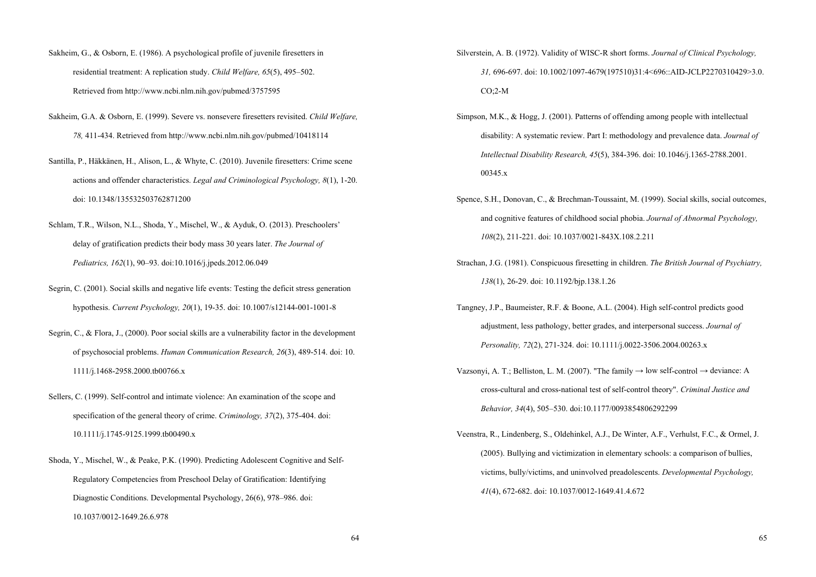- Sakheim, G., & Osborn, E. (1986). A psychological profile of juvenile firesetters in residential treatment: A replication study. *Child Welfare, 65*(5), 495–502. Retrieved from http://www.ncbi.nlm.nih.gov/pubmed/3757595
- Sakheim, G.A. & Osborn, E. (1999). Severe vs. nonsevere firesetters revisited. *Child Welfare, 78,* 411-434. Retrieved from http://www.ncbi.nlm.nih.gov/pubmed/10418114
- Santilla, P., Häkkänen, H., Alison, L., & Whyte, C. (2010). Juvenile firesetters: Crime scene actions and offender characteristics. *Legal and Criminological Psychology, 8*(1), 1-20. doi: 10.1348/135532503762871200
- Schlam, T.R., Wilson, N.L., Shoda, Y., Mischel, W., & Ayduk, O. (2013). Preschoolers' delay of gratification predicts their body mass 30 years later. *The Journal of Pediatrics, 162*(1), 90–93. doi:10.1016/j.jpeds.2012.06.049
- Segrin, C. (2001). Social skills and negative life events: Testing the deficit stress generation hypothesis. *Current Psychology, 20*(1), 19-35. doi: 10.1007/s12144-001-1001-8
- Segrin, C., & Flora, J., (2000). Poor social skills are a vulnerability factor in the development of psychosocial problems. *Human Communication Research, 26*(3), 489-514. doi: 10. 1111/j.1468-2958.2000.tb00766.x
- Sellers, C. (1999). Self-control and intimate violence: An examination of the scope and specification of the general theory of crime. *Criminology, 37*(2), 375-404. doi: 10.1111/j.1745-9125.1999.tb00490.x
- Shoda, Y., Mischel, W., & Peake, P.K. (1990). Predicting Adolescent Cognitive and Self- Regulatory Competencies from Preschool Delay of Gratification: Identifying Diagnostic Conditions. Developmental Psychology, 26(6), 978–986. doi: 10.1037/0012-1649.26.6.978
- Silverstein, A. B. (1972). Validity of WISC-R short forms. *Journal of Clinical Psychology, 31,* 696-697. doi: 10.1002/1097-4679(197510)31:4<696::AID-JCLP2270310429>3.0. CO;2-M
- Simpson, M.K., & Hogg, J. (2001). Patterns of offending among people with intellectual disability: A systematic review. Part I: methodology and prevalence data. *Journal of Intellectual Disability Research, 45*(5), 384-396. doi: 10.1046/j.1365-2788.2001. 00345.x
- Spence, S.H., Donovan, C., & Brechman-Toussaint, M. (1999). Social skills, social outcomes, and cognitive features of childhood social phobia. *Journal of Abnormal Psychology, 108*(2), 211-221. doi: 10.1037/0021-843X.108.2.211
- Strachan, J.G. (1981). Conspicuous firesetting in children. *The British Journal of Psychiatry, 138*(1), 26-29. doi: 10.1192/bjp.138.1.26
- Tangney, J.P., Baumeister, R.F. & Boone, A.L. (2004). High self-control predicts good adjustment, less pathology, better grades, and interpersonal success. *Journal of Personality, 72*(2), 271-324. doi: 10.1111/j.0022-3506.2004.00263.x
- Vazsonyi, A. T.; Belliston, L. M. (2007). "The family  $\rightarrow$  low self-control  $\rightarrow$  deviance: A cross-cultural and cross-national test of self-control theory". *Criminal Justice and Behavior, 34*(4), 505–530. doi:10.1177/0093854806292299
- Veenstra, R., Lindenberg, S., Oldehinkel, A.J., De Winter, A.F., Verhulst, F.C., & Ormel, J. (2005). Bullying and victimization in elementary schools: a comparison of bullies, victims, bully/victims, and uninvolved preadolescents. *Developmental Psychology, 41*(4), 672-682. doi: 10.1037/0012-1649.41.4.672